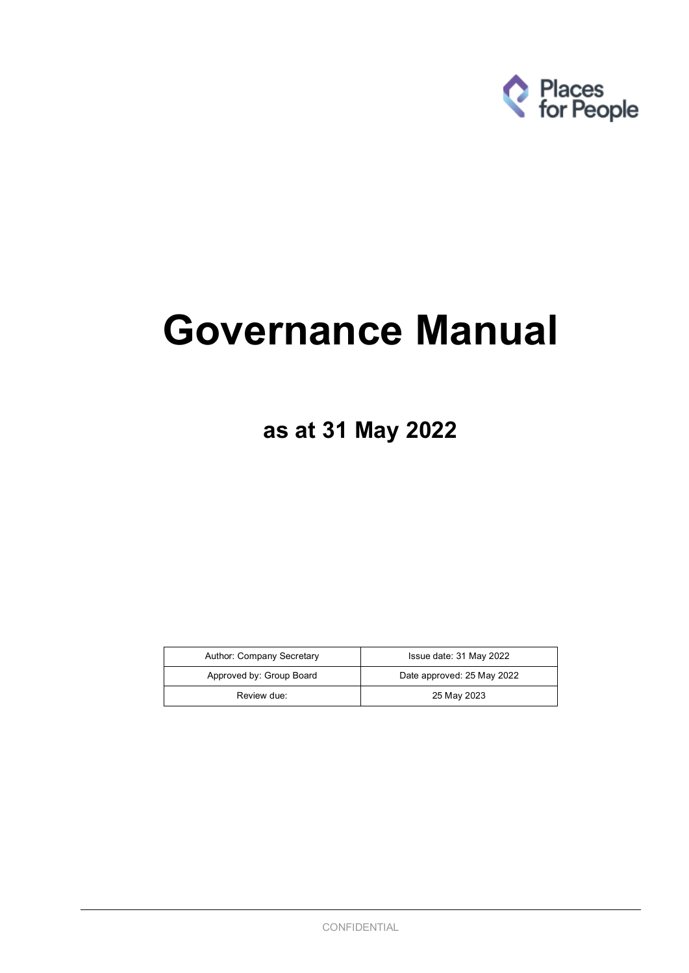

# **Governance Manual**

**as at 31 May 2022**

| <b>Author: Company Secretary</b> | Issue date: 31 May 2022    |
|----------------------------------|----------------------------|
| Approved by: Group Board         | Date approved: 25 May 2022 |
| Review due:                      | 25 May 2023                |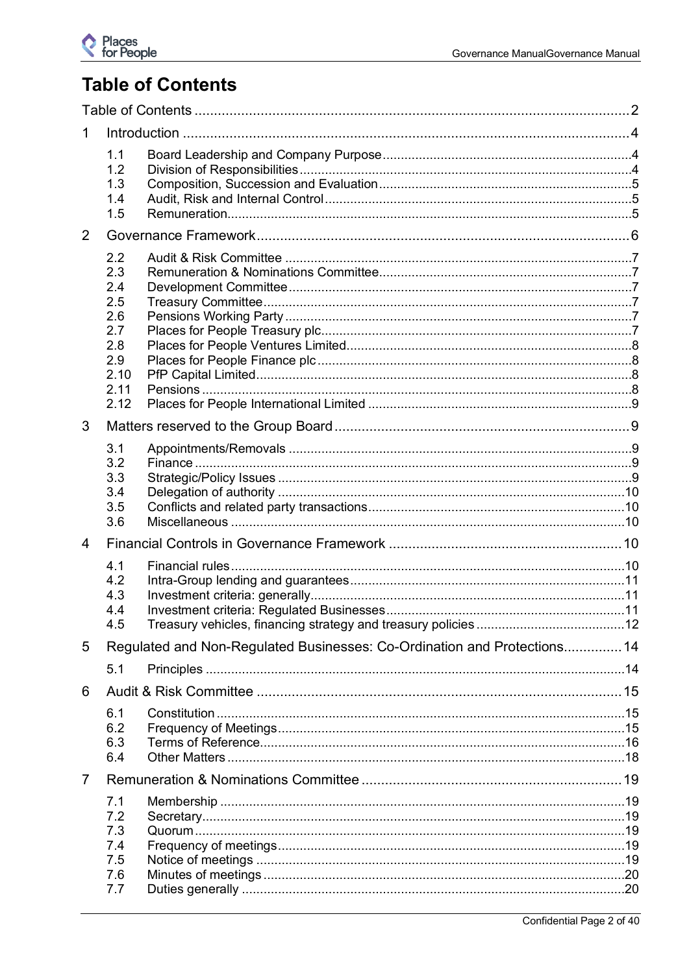

# <span id="page-1-0"></span>**Table of Contents**

| 1              |                                                                      |                                                                          |  |
|----------------|----------------------------------------------------------------------|--------------------------------------------------------------------------|--|
|                | 1.1<br>1.2<br>1.3<br>1.4<br>1.5                                      |                                                                          |  |
| 2              |                                                                      |                                                                          |  |
|                | 2.2<br>2.3<br>2.4<br>2.5<br>2.6<br>2.7<br>2.8<br>2.9<br>2.10<br>2.11 |                                                                          |  |
|                | 2.12                                                                 |                                                                          |  |
| 3              |                                                                      |                                                                          |  |
|                | 3.1<br>3.2<br>3.3<br>3.4<br>3.5<br>3.6                               |                                                                          |  |
| $\overline{4}$ |                                                                      |                                                                          |  |
|                | 4.1<br>4.2<br>4.3<br>4.4<br>4.5                                      |                                                                          |  |
| 5              |                                                                      | Regulated and Non-Regulated Businesses: Co-Ordination and Protections 14 |  |
|                | 5.1                                                                  |                                                                          |  |
| 6              |                                                                      |                                                                          |  |
|                | 6.1<br>6.2<br>6.3<br>6.4                                             |                                                                          |  |
| $\overline{7}$ |                                                                      |                                                                          |  |
|                | 7.1<br>7.2<br>7.3<br>7.4<br>7.5<br>7.6<br>7.7                        |                                                                          |  |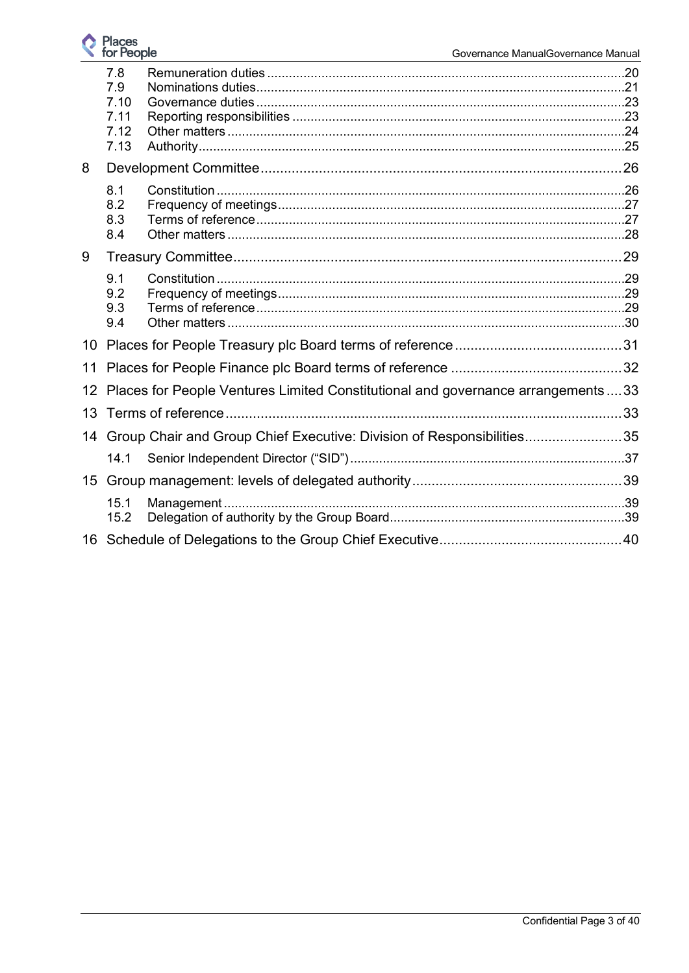

|    | 7.8<br>7.9<br>7.10<br>7.11<br>7.12 |                                                                                 |  |
|----|------------------------------------|---------------------------------------------------------------------------------|--|
|    | 7.13                               |                                                                                 |  |
| 8  |                                    |                                                                                 |  |
|    | 8.1                                |                                                                                 |  |
|    | 8.2                                |                                                                                 |  |
|    | 8.3                                |                                                                                 |  |
|    | 8.4                                |                                                                                 |  |
| 9  |                                    |                                                                                 |  |
|    | 9.1                                |                                                                                 |  |
|    | 9.2                                |                                                                                 |  |
|    | 9.3                                |                                                                                 |  |
|    | 9.4                                |                                                                                 |  |
|    |                                    |                                                                                 |  |
| 11 |                                    |                                                                                 |  |
| 12 |                                    | Places for People Ventures Limited Constitutional and governance arrangements33 |  |
| 13 |                                    |                                                                                 |  |
| 14 |                                    | Group Chair and Group Chief Executive: Division of Responsibilities35           |  |
|    | 14.1                               |                                                                                 |  |
|    |                                    |                                                                                 |  |
|    | 15.1                               |                                                                                 |  |
|    | 15.2                               |                                                                                 |  |
|    |                                    |                                                                                 |  |
|    |                                    |                                                                                 |  |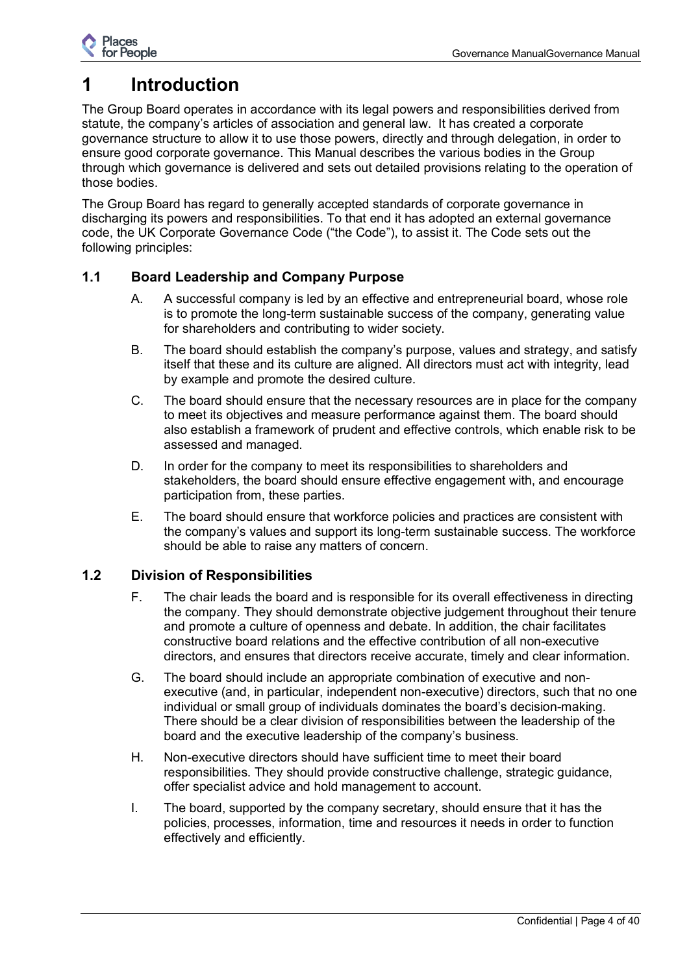

# <span id="page-3-0"></span>**1 Introduction**

The Group Board operates in accordance with its legal powers and responsibilities derived from statute, the company's articles of association and general law. It has created a corporate governance structure to allow it to use those powers, directly and through delegation, in order to ensure good corporate governance. This Manual describes the various bodies in the Group through which governance is delivered and sets out detailed provisions relating to the operation of those bodies.

The Group Board has regard to generally accepted standards of corporate governance in discharging its powers and responsibilities. To that end it has adopted an external governance code, the UK Corporate Governance Code ("the Code"), to assist it. The Code sets out the following principles:

#### <span id="page-3-1"></span>**1.1 Board Leadership and Company Purpose**

- A. A successful company is led by an effective and entrepreneurial board, whose role is to promote the long-term sustainable success of the company, generating value for shareholders and contributing to wider society.
- B. The board should establish the company's purpose, values and strategy, and satisfy itself that these and its culture are aligned. All directors must act with integrity, lead by example and promote the desired culture.
- C. The board should ensure that the necessary resources are in place for the company to meet its objectives and measure performance against them. The board should also establish a framework of prudent and effective controls, which enable risk to be assessed and managed.
- D. In order for the company to meet its responsibilities to shareholders and stakeholders, the board should ensure effective engagement with, and encourage participation from, these parties.
- E. The board should ensure that workforce policies and practices are consistent with the company's values and support its long-term sustainable success. The workforce should be able to raise any matters of concern.

#### <span id="page-3-2"></span>**1.2 Division of Responsibilities**

- F. The chair leads the board and is responsible for its overall effectiveness in directing the company. They should demonstrate objective judgement throughout their tenure and promote a culture of openness and debate. In addition, the chair facilitates constructive board relations and the effective contribution of all non-executive directors, and ensures that directors receive accurate, timely and clear information.
- G. The board should include an appropriate combination of executive and nonexecutive (and, in particular, independent non-executive) directors, such that no one individual or small group of individuals dominates the board's decision-making. There should be a clear division of responsibilities between the leadership of the board and the executive leadership of the company's business.
- H. Non-executive directors should have sufficient time to meet their board responsibilities. They should provide constructive challenge, strategic guidance, offer specialist advice and hold management to account.
- I. The board, supported by the company secretary, should ensure that it has the policies, processes, information, time and resources it needs in order to function effectively and efficiently.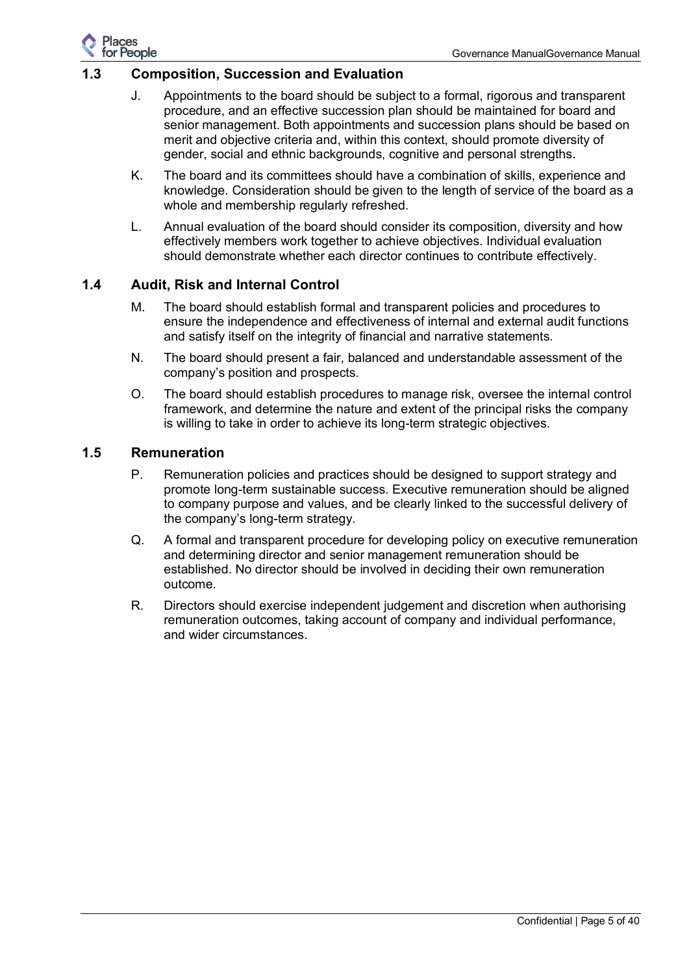

#### <span id="page-4-0"></span>**1.3 Composition, Succession and Evaluation**

- J. Appointments to the board should be subject to a formal, rigorous and transparent procedure, and an effective succession plan should be maintained for board and senior management. Both appointments and succession plans should be based on merit and objective criteria and, within this context, should promote diversity of gender, social and ethnic backgrounds, cognitive and personal strengths.
- K. The board and its committees should have a combination of skills, experience and knowledge. Consideration should be given to the length of service of the board as a whole and membership regularly refreshed.
- L. Annual evaluation of the board should consider its composition, diversity and how effectively members work together to achieve objectives. Individual evaluation should demonstrate whether each director continues to contribute effectively.

#### <span id="page-4-1"></span>**1.4 Audit, Risk and Internal Control**

- M. The board should establish formal and transparent policies and procedures to ensure the independence and effectiveness of internal and external audit functions and satisfy itself on the integrity of financial and narrative statements.
- N. The board should present a fair, balanced and understandable assessment of the company's position and prospects.
- O. The board should establish procedures to manage risk, oversee the internal control framework, and determine the nature and extent of the principal risks the company is willing to take in order to achieve its long-term strategic objectives.

#### <span id="page-4-2"></span>**1.5 Remuneration**

- P. Remuneration policies and practices should be designed to support strategy and promote long-term sustainable success. Executive remuneration should be aligned to company purpose and values, and be clearly linked to the successful delivery of the company's long-term strategy.
- Q. A formal and transparent procedure for developing policy on executive remuneration and determining director and senior management remuneration should be established. No director should be involved in deciding their own remuneration outcome.
- R. Directors should exercise independent judgement and discretion when authorising remuneration outcomes, taking account of company and individual performance, and wider circumstances.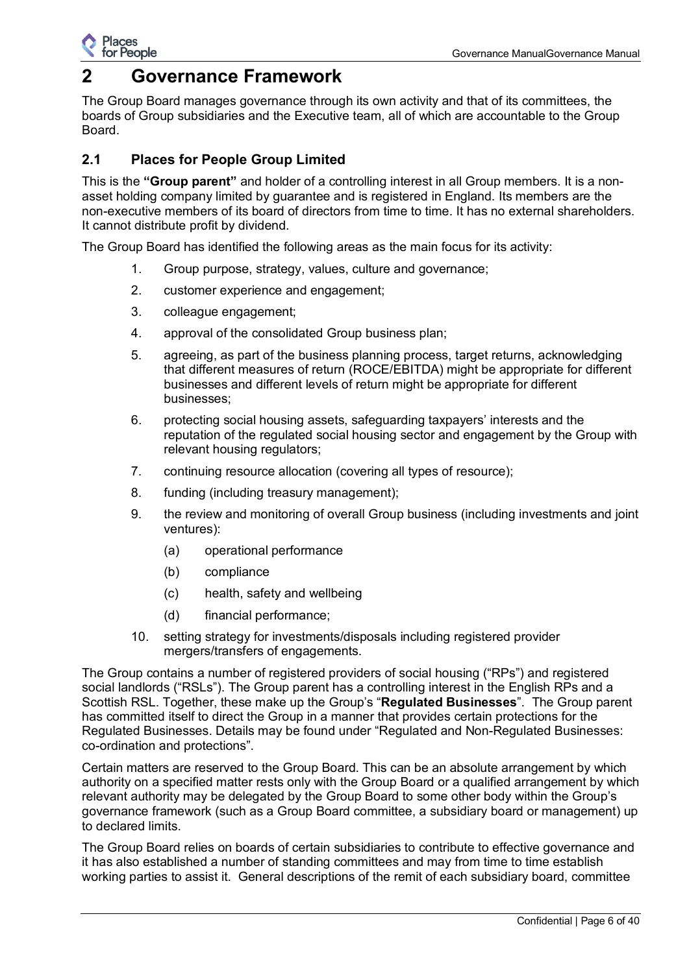

## <span id="page-5-0"></span>**2 Governance Framework**

The Group Board manages governance through its own activity and that of its committees, the boards of Group subsidiaries and the Executive team, all of which are accountable to the Group Board.

#### **2.1 Places for People Group Limited**

This is the **"Group parent"** and holder of a controlling interest in all Group members. It is a nonasset holding company limited by guarantee and is registered in England. Its members are the non-executive members of its board of directors from time to time. It has no external shareholders. It cannot distribute profit by dividend.

The Group Board has identified the following areas as the main focus for its activity:

- 1. Group purpose, strategy, values, culture and governance;
- 2. customer experience and engagement;
- 3. colleague engagement;
- 4. approval of the consolidated Group business plan;
- 5. agreeing, as part of the business planning process, target returns, acknowledging that different measures of return (ROCE/EBITDA) might be appropriate for different businesses and different levels of return might be appropriate for different businesses;
- 6. protecting social housing assets, safeguarding taxpayers' interests and the reputation of the regulated social housing sector and engagement by the Group with relevant housing regulators;
- 7. continuing resource allocation (covering all types of resource);
- 8. funding (including treasury management);
- 9. the review and monitoring of overall Group business (including investments and joint ventures):
	- (a) operational performance
	- (b) compliance
	- (c) health, safety and wellbeing
	- (d) financial performance;
- 10. setting strategy for investments/disposals including registered provider mergers/transfers of engagements.

The Group contains a number of registered providers of social housing ("RPs") and registered social landlords ("RSLs"). The Group parent has a controlling interest in the English RPs and a Scottish RSL. Together, these make up the Group's "**Regulated Businesses**". The Group parent has committed itself to direct the Group in a manner that provides certain protections for the Regulated Businesses. Details may be found under "Regulated and Non-Regulated Businesses: co-ordination and protections".

Certain matters are reserved to the Group Board. This can be an absolute arrangement by which authority on a specified matter rests only with the Group Board or a qualified arrangement by which relevant authority may be delegated by the Group Board to some other body within the Group's governance framework (such as a Group Board committee, a subsidiary board or management) up to declared limits.

The Group Board relies on boards of certain subsidiaries to contribute to effective governance and it has also established a number of standing committees and may from time to time establish working parties to assist it. General descriptions of the remit of each subsidiary board, committee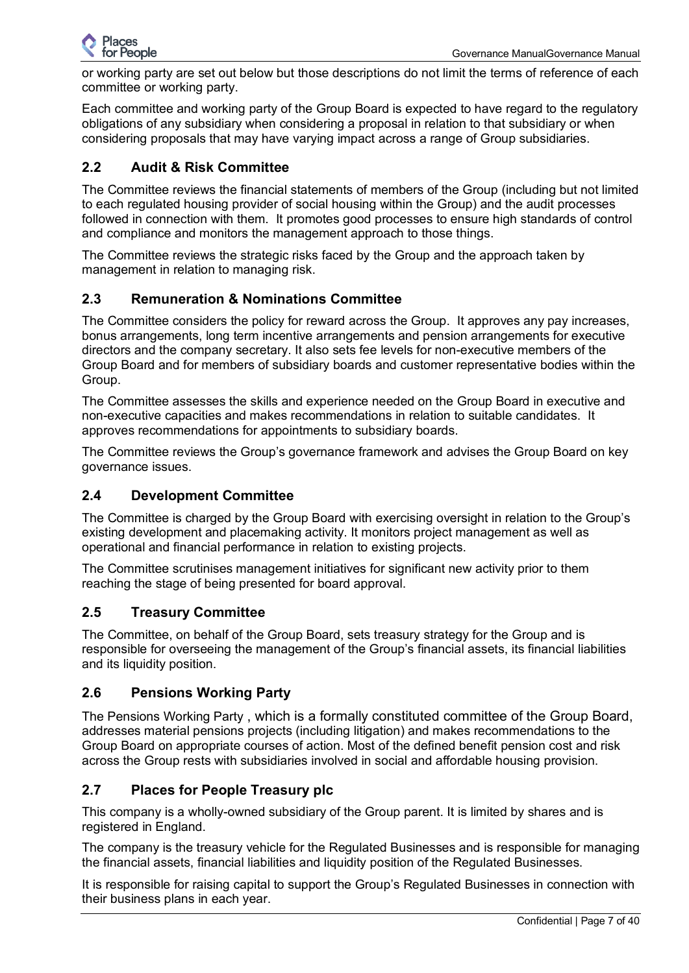or working party are set out below but those descriptions do not limit the terms of reference of each committee or working party.

Each committee and working party of the Group Board is expected to have regard to the regulatory obligations of any subsidiary when considering a proposal in relation to that subsidiary or when considering proposals that may have varying impact across a range of Group subsidiaries.

#### <span id="page-6-0"></span>**2.2 Audit & Risk Committee**

The Committee reviews the financial statements of members of the Group (including but not limited to each regulated housing provider of social housing within the Group) and the audit processes followed in connection with them. It promotes good processes to ensure high standards of control and compliance and monitors the management approach to those things.

The Committee reviews the strategic risks faced by the Group and the approach taken by management in relation to managing risk.

#### <span id="page-6-1"></span>**2.3 Remuneration & Nominations Committee**

The Committee considers the policy for reward across the Group. It approves any pay increases, bonus arrangements, long term incentive arrangements and pension arrangements for executive directors and the company secretary. It also sets fee levels for non-executive members of the Group Board and for members of subsidiary boards and customer representative bodies within the Group.

The Committee assesses the skills and experience needed on the Group Board in executive and non-executive capacities and makes recommendations in relation to suitable candidates. It approves recommendations for appointments to subsidiary boards.

The Committee reviews the Group's governance framework and advises the Group Board on key governance issues.

#### <span id="page-6-2"></span>**2.4 Development Committee**

The Committee is charged by the Group Board with exercising oversight in relation to the Group's existing development and placemaking activity. It monitors project management as well as operational and financial performance in relation to existing projects.

The Committee scrutinises management initiatives for significant new activity prior to them reaching the stage of being presented for board approval.

#### <span id="page-6-3"></span>**2.5 Treasury Committee**

The Committee, on behalf of the Group Board, sets treasury strategy for the Group and is responsible for overseeing the management of the Group's financial assets, its financial liabilities and its liquidity position.

#### <span id="page-6-4"></span>**2.6 Pensions Working Party**

The Pensions Working Party , which is a formally constituted committee of the Group Board, addresses material pensions projects (including litigation) and makes recommendations to the Group Board on appropriate courses of action. Most of the defined benefit pension cost and risk across the Group rests with subsidiaries involved in social and affordable housing provision.

#### <span id="page-6-5"></span>**2.7 Places for People Treasury plc**

This company is a wholly-owned subsidiary of the Group parent. It is limited by shares and is registered in England.

The company is the treasury vehicle for the Regulated Businesses and is responsible for managing the financial assets, financial liabilities and liquidity position of the Regulated Businesses.

It is responsible for raising capital to support the Group's Regulated Businesses in connection with their business plans in each year.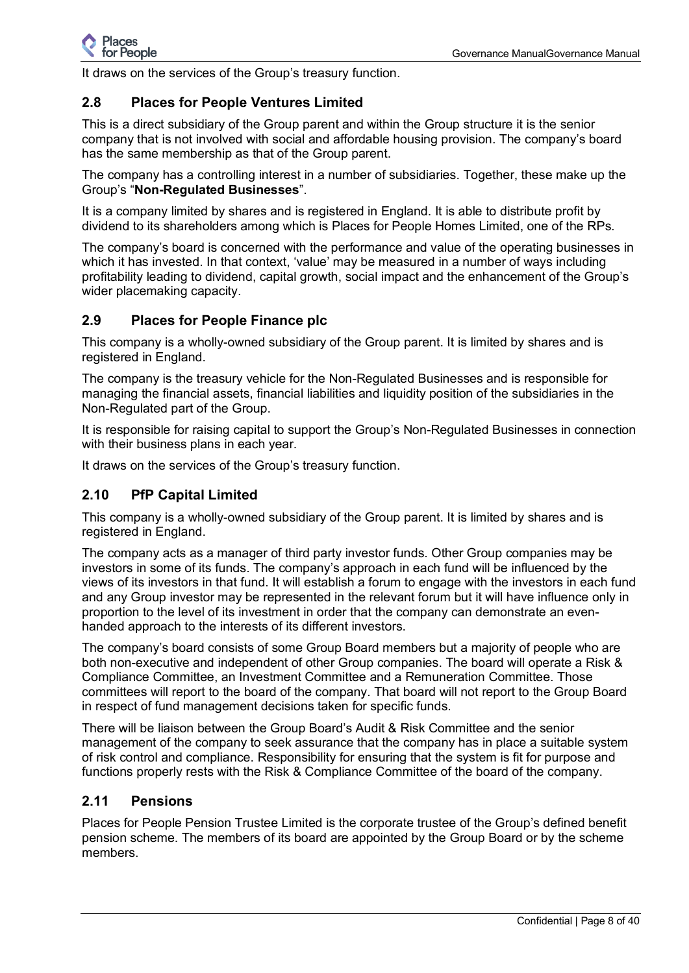It draws on the services of the Group's treasury function.

#### <span id="page-7-0"></span>**2.8 Places for People Ventures Limited**

This is a direct subsidiary of the Group parent and within the Group structure it is the senior company that is not involved with social and affordable housing provision. The company's board has the same membership as that of the Group parent.

The company has a controlling interest in a number of subsidiaries. Together, these make up the Group's "**Non-Regulated Businesses**".

It is a company limited by shares and is registered in England. It is able to distribute profit by dividend to its shareholders among which is Places for People Homes Limited, one of the RPs.

The company's board is concerned with the performance and value of the operating businesses in which it has invested. In that context, 'value' may be measured in a number of ways including profitability leading to dividend, capital growth, social impact and the enhancement of the Group's wider placemaking capacity.

#### <span id="page-7-1"></span>**2.9 Places for People Finance plc**

This company is a wholly-owned subsidiary of the Group parent. It is limited by shares and is registered in England.

The company is the treasury vehicle for the Non-Regulated Businesses and is responsible for managing the financial assets, financial liabilities and liquidity position of the subsidiaries in the Non-Regulated part of the Group.

It is responsible for raising capital to support the Group's Non-Regulated Businesses in connection with their business plans in each year.

It draws on the services of the Group's treasury function.

#### <span id="page-7-2"></span>**2.10 PfP Capital Limited**

This company is a wholly-owned subsidiary of the Group parent. It is limited by shares and is registered in England.

The company acts as a manager of third party investor funds. Other Group companies may be investors in some of its funds. The company's approach in each fund will be influenced by the views of its investors in that fund. It will establish a forum to engage with the investors in each fund and any Group investor may be represented in the relevant forum but it will have influence only in proportion to the level of its investment in order that the company can demonstrate an evenhanded approach to the interests of its different investors.

The company's board consists of some Group Board members but a majority of people who are both non-executive and independent of other Group companies. The board will operate a Risk & Compliance Committee, an Investment Committee and a Remuneration Committee. Those committees will report to the board of the company. That board will not report to the Group Board in respect of fund management decisions taken for specific funds.

There will be liaison between the Group Board's Audit & Risk Committee and the senior management of the company to seek assurance that the company has in place a suitable system of risk control and compliance. Responsibility for ensuring that the system is fit for purpose and functions properly rests with the Risk & Compliance Committee of the board of the company.

#### <span id="page-7-3"></span>**2.11 Pensions**

Places for People Pension Trustee Limited is the corporate trustee of the Group's defined benefit pension scheme. The members of its board are appointed by the Group Board or by the scheme members.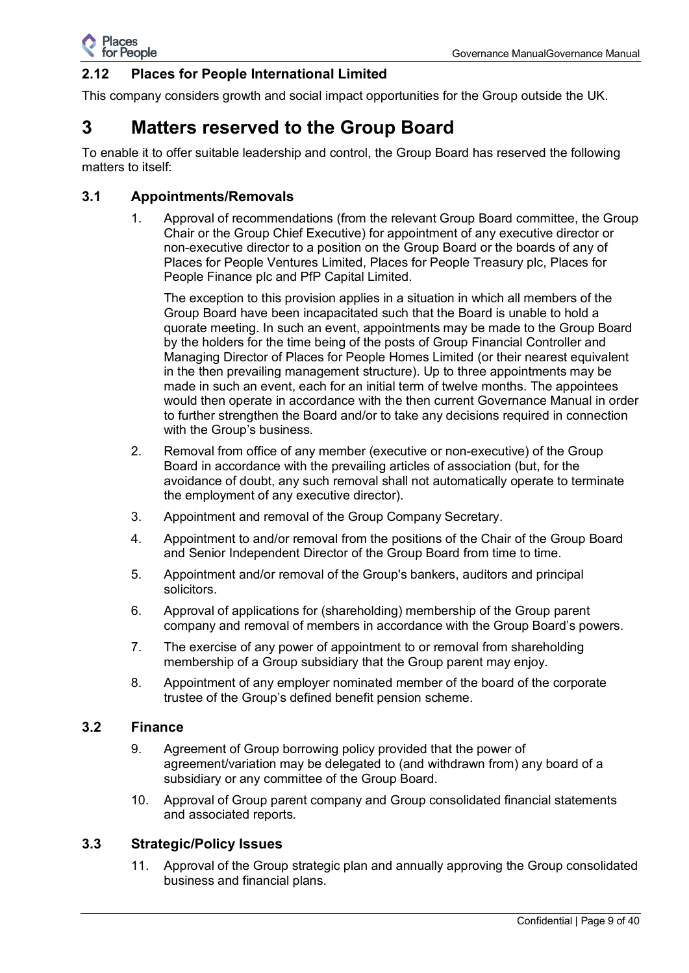

#### <span id="page-8-0"></span>**2.12 Places for People International Limited**

This company considers growth and social impact opportunities for the Group outside the UK.

# <span id="page-8-1"></span>**3 Matters reserved to the Group Board**

To enable it to offer suitable leadership and control, the Group Board has reserved the following matters to itself:

#### <span id="page-8-2"></span>**3.1 Appointments/Removals**

1. Approval of recommendations (from the relevant Group Board committee, the Group Chair or the Group Chief Executive) for appointment of any executive director or non-executive director to a position on the Group Board or the boards of any of Places for People Ventures Limited, Places for People Treasury plc, Places for People Finance plc and PfP Capital Limited.

The exception to this provision applies in a situation in which all members of the Group Board have been incapacitated such that the Board is unable to hold a quorate meeting. In such an event, appointments may be made to the Group Board by the holders for the time being of the posts of Group Financial Controller and Managing Director of Places for People Homes Limited (or their nearest equivalent in the then prevailing management structure). Up to three appointments may be made in such an event, each for an initial term of twelve months. The appointees would then operate in accordance with the then current Governance Manual in order to further strengthen the Board and/or to take any decisions required in connection with the Group's business.

- 2. Removal from office of any member (executive or non-executive) of the Group Board in accordance with the prevailing articles of association (but, for the avoidance of doubt, any such removal shall not automatically operate to terminate the employment of any executive director).
- 3. Appointment and removal of the Group Company Secretary.
- 4. Appointment to and/or removal from the positions of the Chair of the Group Board and Senior Independent Director of the Group Board from time to time.
- 5. Appointment and/or removal of the Group's bankers, auditors and principal solicitors.
- 6. Approval of applications for (shareholding) membership of the Group parent company and removal of members in accordance with the Group Board's powers.
- 7. The exercise of any power of appointment to or removal from shareholding membership of a Group subsidiary that the Group parent may enjoy.
- 8. Appointment of any employer nominated member of the board of the corporate trustee of the Group's defined benefit pension scheme.

#### <span id="page-8-3"></span>**3.2 Finance**

- 9. Agreement of Group borrowing policy provided that the power of agreement/variation may be delegated to (and withdrawn from) any board of a subsidiary or any committee of the Group Board.
- 10. Approval of Group parent company and Group consolidated financial statements and associated reports.

#### <span id="page-8-4"></span>**3.3 Strategic/Policy Issues**

11. Approval of the Group strategic plan and annually approving the Group consolidated business and financial plans.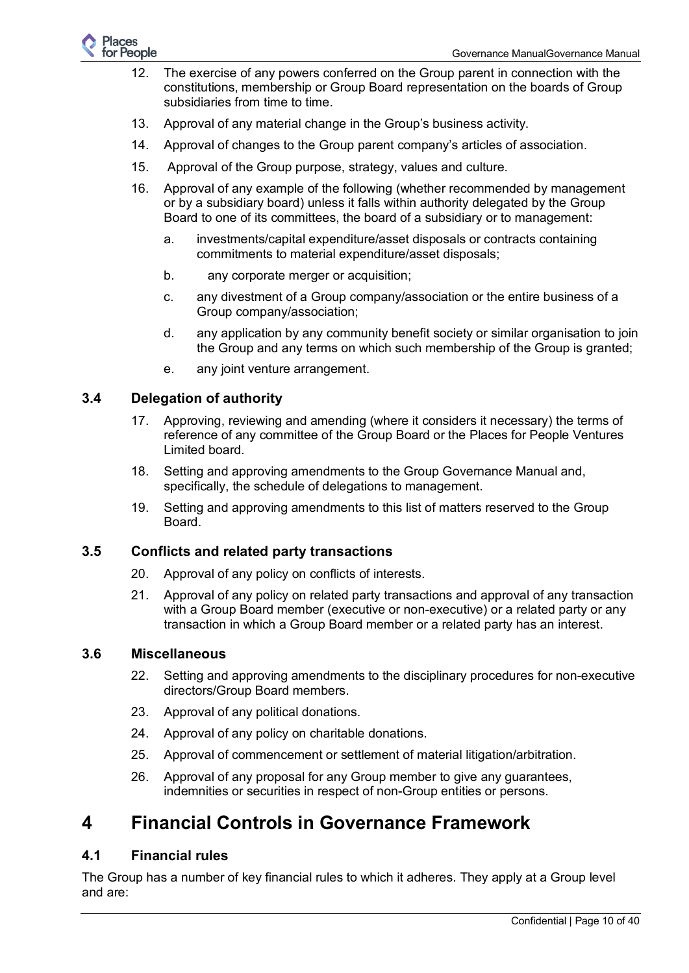

- 12. The exercise of any powers conferred on the Group parent in connection with the constitutions, membership or Group Board representation on the boards of Group subsidiaries from time to time.
- 13. Approval of any material change in the Group's business activity.
- 14. Approval of changes to the Group parent company's articles of association.
- 15. Approval of the Group purpose, strategy, values and culture.
- 16. Approval of any example of the following (whether recommended by management or by a subsidiary board) unless it falls within authority delegated by the Group Board to one of its committees, the board of a subsidiary or to management:
	- a. investments/capital expenditure/asset disposals or contracts containing commitments to material expenditure/asset disposals;
	- b. any corporate merger or acquisition;
	- c. any divestment of a Group company/association or the entire business of a Group company/association;
	- d. any application by any community benefit society or similar organisation to join the Group and any terms on which such membership of the Group is granted;
	- e. any joint venture arrangement.

#### <span id="page-9-0"></span>**3.4 Delegation of authority**

- 17. Approving, reviewing and amending (where it considers it necessary) the terms of reference of any committee of the Group Board or the Places for People Ventures Limited board.
- 18. Setting and approving amendments to the Group Governance Manual and, specifically, the schedule of delegations to management.
- 19. Setting and approving amendments to this list of matters reserved to the Group Board.

#### <span id="page-9-1"></span>**3.5 Conflicts and related party transactions**

- 20. Approval of any policy on conflicts of interests.
- 21. Approval of any policy on related party transactions and approval of any transaction with a Group Board member (executive or non-executive) or a related party or any transaction in which a Group Board member or a related party has an interest.

#### <span id="page-9-2"></span>**3.6 Miscellaneous**

- 22. Setting and approving amendments to the disciplinary procedures for non-executive directors/Group Board members.
- 23. Approval of any political donations.
- 24. Approval of any policy on charitable donations.
- 25. Approval of commencement or settlement of material litigation/arbitration.
- 26. Approval of any proposal for any Group member to give any guarantees, indemnities or securities in respect of non-Group entities or persons.

## <span id="page-9-3"></span>**4 Financial Controls in Governance Framework**

#### <span id="page-9-4"></span>**4.1 Financial rules**

The Group has a number of key financial rules to which it adheres. They apply at a Group level and are: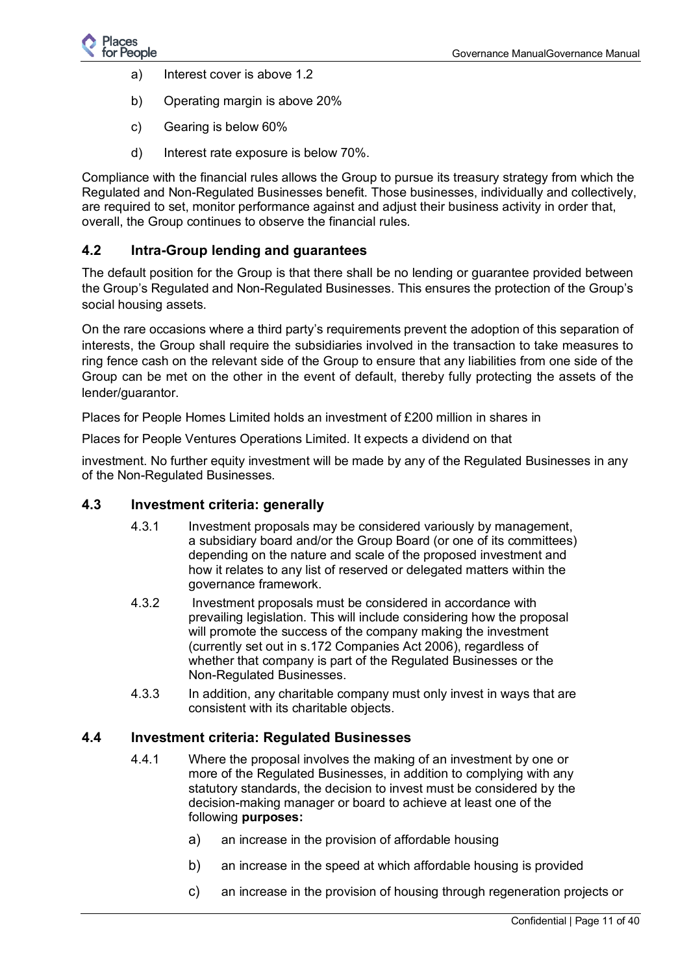

- a) Interest cover is above 1.2
- b) Operating margin is above 20%
- c) Gearing is below 60%
- d) Interest rate exposure is below 70%.

Compliance with the financial rules allows the Group to pursue its treasury strategy from which the Regulated and Non-Regulated Businesses benefit. Those businesses, individually and collectively, are required to set, monitor performance against and adjust their business activity in order that, overall, the Group continues to observe the financial rules.

#### <span id="page-10-0"></span>**4.2 Intra-Group lending and guarantees**

The default position for the Group is that there shall be no lending or guarantee provided between the Group's Regulated and Non-Regulated Businesses. This ensures the protection of the Group's social housing assets.

On the rare occasions where a third party's requirements prevent the adoption of this separation of interests, the Group shall require the subsidiaries involved in the transaction to take measures to ring fence cash on the relevant side of the Group to ensure that any liabilities from one side of the Group can be met on the other in the event of default, thereby fully protecting the assets of the lender/guarantor.

Places for People Homes Limited holds an investment of £200 million in shares in

Places for People Ventures Operations Limited. It expects a dividend on that

investment. No further equity investment will be made by any of the Regulated Businesses in any of the Non-Regulated Businesses.

#### <span id="page-10-1"></span>**4.3 Investment criteria: generally**

- 4.3.1 Investment proposals may be considered variously by management, a subsidiary board and/or the Group Board (or one of its committees) depending on the nature and scale of the proposed investment and how it relates to any list of reserved or delegated matters within the governance framework.
- 4.3.2 Investment proposals must be considered in accordance with prevailing legislation. This will include considering how the proposal will promote the success of the company making the investment (currently set out in s.172 Companies Act 2006), regardless of whether that company is part of the Regulated Businesses or the Non-Regulated Businesses.
- 4.3.3 In addition, any charitable company must only invest in ways that are consistent with its charitable objects.

#### <span id="page-10-2"></span>**4.4 Investment criteria: Regulated Businesses**

- 4.4.1 Where the proposal involves the making of an investment by one or more of the Regulated Businesses, in addition to complying with any statutory standards, the decision to invest must be considered by the decision-making manager or board to achieve at least one of the following **purposes:**
	- a) an increase in the provision of affordable housing
	- b) an increase in the speed at which affordable housing is provided
	- c) an increase in the provision of housing through regeneration projects or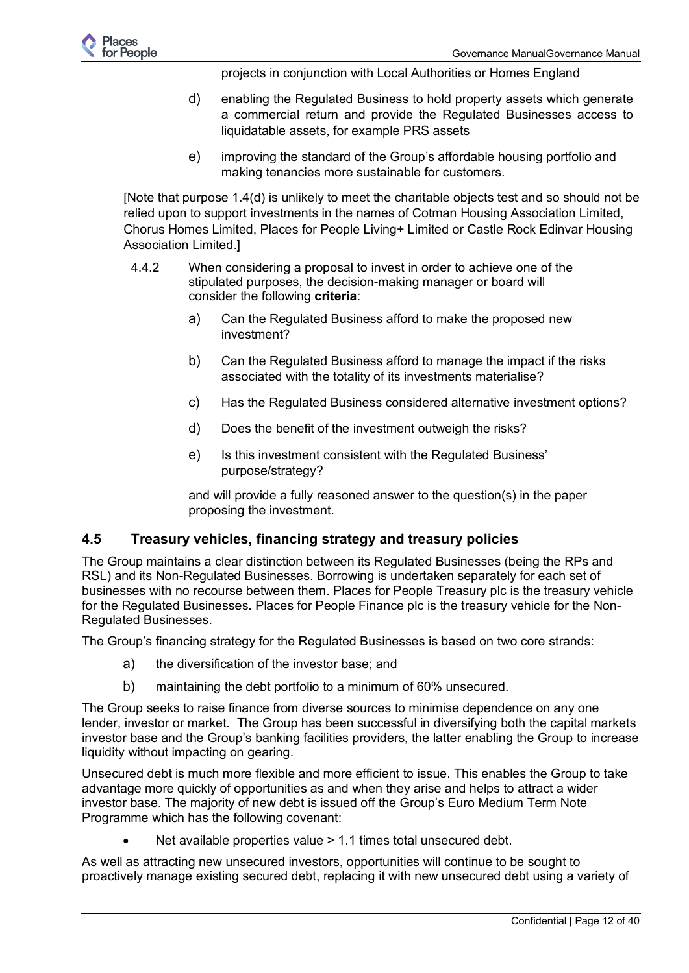projects in conjunction with Local Authorities or Homes England

- d) enabling the Regulated Business to hold property assets which generate a commercial return and provide the Regulated Businesses access to liquidatable assets, for example PRS assets
- e) improving the standard of the Group's affordable housing portfolio and making tenancies more sustainable for customers.

[Note that purpose 1.4(d) is unlikely to meet the charitable objects test and so should not be relied upon to support investments in the names of Cotman Housing Association Limited, Chorus Homes Limited, Places for People Living+ Limited or Castle Rock Edinvar Housing Association Limited.]

- 4.4.2 When considering a proposal to invest in order to achieve one of the stipulated purposes, the decision-making manager or board will consider the following **criteria**:
	- a) Can the Regulated Business afford to make the proposed new investment?
	- b) Can the Regulated Business afford to manage the impact if the risks associated with the totality of its investments materialise?
	- c) Has the Regulated Business considered alternative investment options?
	- d) Does the benefit of the investment outweigh the risks?
	- e) Is this investment consistent with the Regulated Business' purpose/strategy?

and will provide a fully reasoned answer to the question(s) in the paper proposing the investment.

#### <span id="page-11-0"></span>**4.5 Treasury vehicles, financing strategy and treasury policies**

The Group maintains a clear distinction between its Regulated Businesses (being the RPs and RSL) and its Non-Regulated Businesses. Borrowing is undertaken separately for each set of businesses with no recourse between them. Places for People Treasury plc is the treasury vehicle for the Regulated Businesses. Places for People Finance plc is the treasury vehicle for the Non-Regulated Businesses.

The Group's financing strategy for the Regulated Businesses is based on two core strands:

- a) the diversification of the investor base; and
- b) maintaining the debt portfolio to a minimum of 60% unsecured.

The Group seeks to raise finance from diverse sources to minimise dependence on any one lender, investor or market. The Group has been successful in diversifying both the capital markets investor base and the Group's banking facilities providers, the latter enabling the Group to increase liquidity without impacting on gearing.

Unsecured debt is much more flexible and more efficient to issue. This enables the Group to take advantage more quickly of opportunities as and when they arise and helps to attract a wider investor base. The majority of new debt is issued off the Group's Euro Medium Term Note Programme which has the following covenant:

Net available properties value > 1.1 times total unsecured debt.

As well as attracting new unsecured investors, opportunities will continue to be sought to proactively manage existing secured debt, replacing it with new unsecured debt using a variety of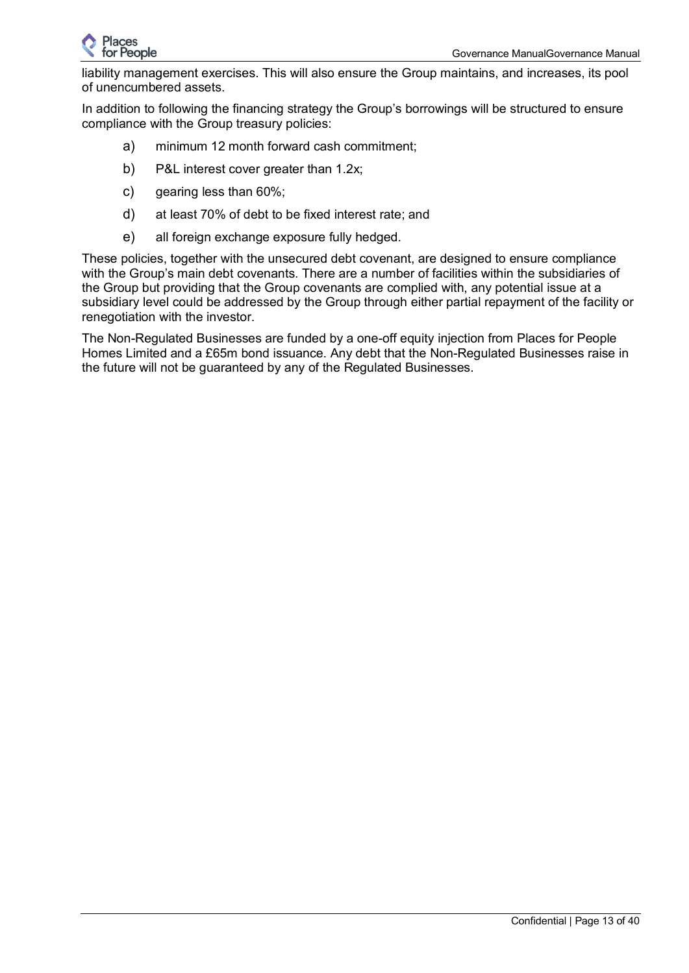

liability management exercises. This will also ensure the Group maintains, and increases, its pool of unencumbered assets.

In addition to following the financing strategy the Group's borrowings will be structured to ensure compliance with the Group treasury policies:

- a) minimum 12 month forward cash commitment;
- b) P&L interest cover greater than 1.2x;
- c) gearing less than 60%;
- d) at least 70% of debt to be fixed interest rate; and
- e) all foreign exchange exposure fully hedged.

These policies, together with the unsecured debt covenant, are designed to ensure compliance with the Group's main debt covenants. There are a number of facilities within the subsidiaries of the Group but providing that the Group covenants are complied with, any potential issue at a subsidiary level could be addressed by the Group through either partial repayment of the facility or renegotiation with the investor.

The Non-Regulated Businesses are funded by a one-off equity injection from Places for People Homes Limited and a £65m bond issuance. Any debt that the Non-Regulated Businesses raise in the future will not be guaranteed by any of the Regulated Businesses.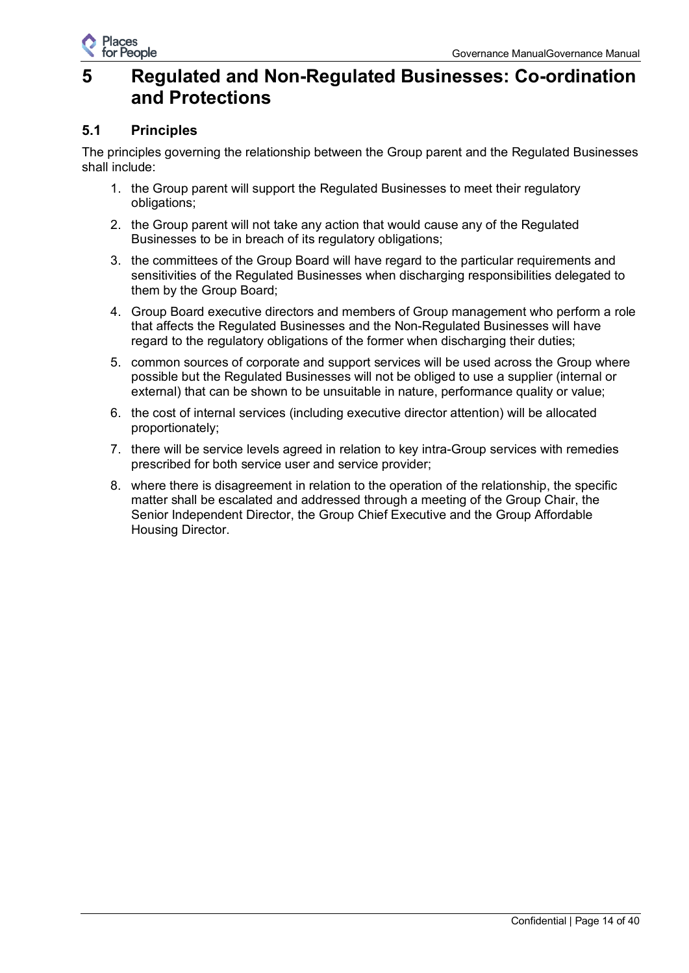

# <span id="page-13-0"></span>**5 Regulated and Non-Regulated Businesses: Co-ordination and Protections**

## <span id="page-13-1"></span>**5.1 Principles**

The principles governing the relationship between the Group parent and the Regulated Businesses shall include:

- 1. the Group parent will support the Regulated Businesses to meet their regulatory obligations;
- 2. the Group parent will not take any action that would cause any of the Regulated Businesses to be in breach of its regulatory obligations;
- 3. the committees of the Group Board will have regard to the particular requirements and sensitivities of the Regulated Businesses when discharging responsibilities delegated to them by the Group Board;
- 4. Group Board executive directors and members of Group management who perform a role that affects the Regulated Businesses and the Non-Regulated Businesses will have regard to the regulatory obligations of the former when discharging their duties;
- 5. common sources of corporate and support services will be used across the Group where possible but the Regulated Businesses will not be obliged to use a supplier (internal or external) that can be shown to be unsuitable in nature, performance quality or value;
- 6. the cost of internal services (including executive director attention) will be allocated proportionately;
- 7. there will be service levels agreed in relation to key intra-Group services with remedies prescribed for both service user and service provider;
- 8. where there is disagreement in relation to the operation of the relationship, the specific matter shall be escalated and addressed through a meeting of the Group Chair, the Senior Independent Director, the Group Chief Executive and the Group Affordable Housing Director.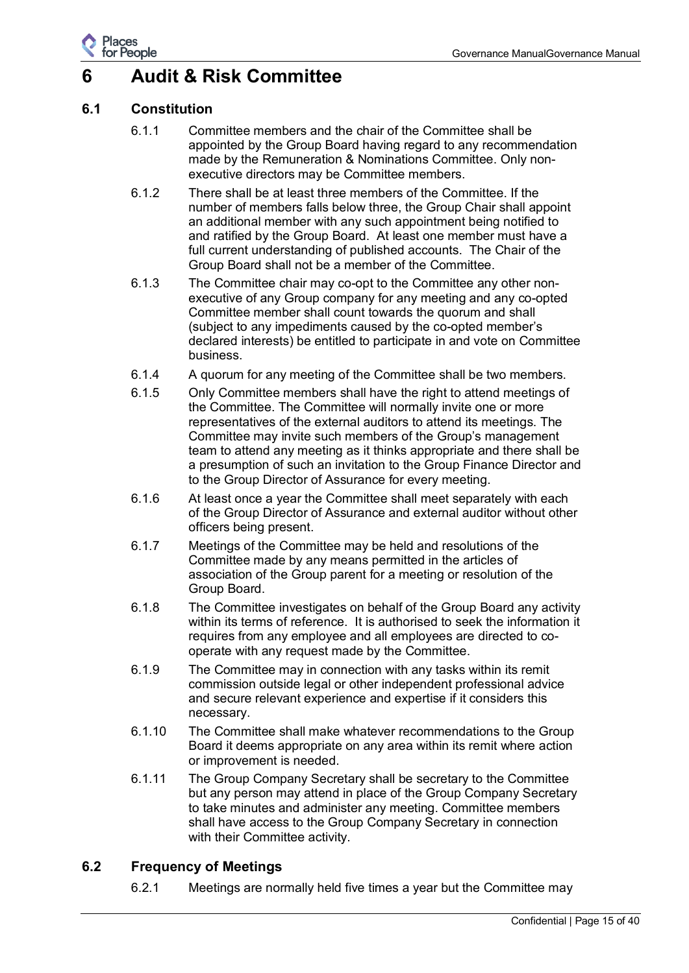## <span id="page-14-0"></span>**6 Audit & Risk Committee**

#### <span id="page-14-1"></span>**6.1 Constitution**

- 6.1.1 Committee members and the chair of the Committee shall be appointed by the Group Board having regard to any recommendation made by the Remuneration & Nominations Committee. Only nonexecutive directors may be Committee members.
- 6.1.2 There shall be at least three members of the Committee. If the number of members falls below three, the Group Chair shall appoint an additional member with any such appointment being notified to and ratified by the Group Board. At least one member must have a full current understanding of published accounts. The Chair of the Group Board shall not be a member of the Committee.
- 6.1.3 The Committee chair may co-opt to the Committee any other nonexecutive of any Group company for any meeting and any co-opted Committee member shall count towards the quorum and shall (subject to any impediments caused by the co-opted member's declared interests) be entitled to participate in and vote on Committee business.
- 6.1.4 A quorum for any meeting of the Committee shall be two members.
- 6.1.5 Only Committee members shall have the right to attend meetings of the Committee. The Committee will normally invite one or more representatives of the external auditors to attend its meetings. The Committee may invite such members of the Group's management team to attend any meeting as it thinks appropriate and there shall be a presumption of such an invitation to the Group Finance Director and to the Group Director of Assurance for every meeting.
- 6.1.6 At least once a year the Committee shall meet separately with each of the Group Director of Assurance and external auditor without other officers being present.
- 6.1.7 Meetings of the Committee may be held and resolutions of the Committee made by any means permitted in the articles of association of the Group parent for a meeting or resolution of the Group Board.
- 6.1.8 The Committee investigates on behalf of the Group Board any activity within its terms of reference. It is authorised to seek the information it requires from any employee and all employees are directed to cooperate with any request made by the Committee.
- 6.1.9 The Committee may in connection with any tasks within its remit commission outside legal or other independent professional advice and secure relevant experience and expertise if it considers this necessary.
- 6.1.10 The Committee shall make whatever recommendations to the Group Board it deems appropriate on any area within its remit where action or improvement is needed.
- 6.1.11 The Group Company Secretary shall be secretary to the Committee but any person may attend in place of the Group Company Secretary to take minutes and administer any meeting. Committee members shall have access to the Group Company Secretary in connection with their Committee activity.

#### <span id="page-14-2"></span>**6.2 Frequency of Meetings**

6.2.1 Meetings are normally held five times a year but the Committee may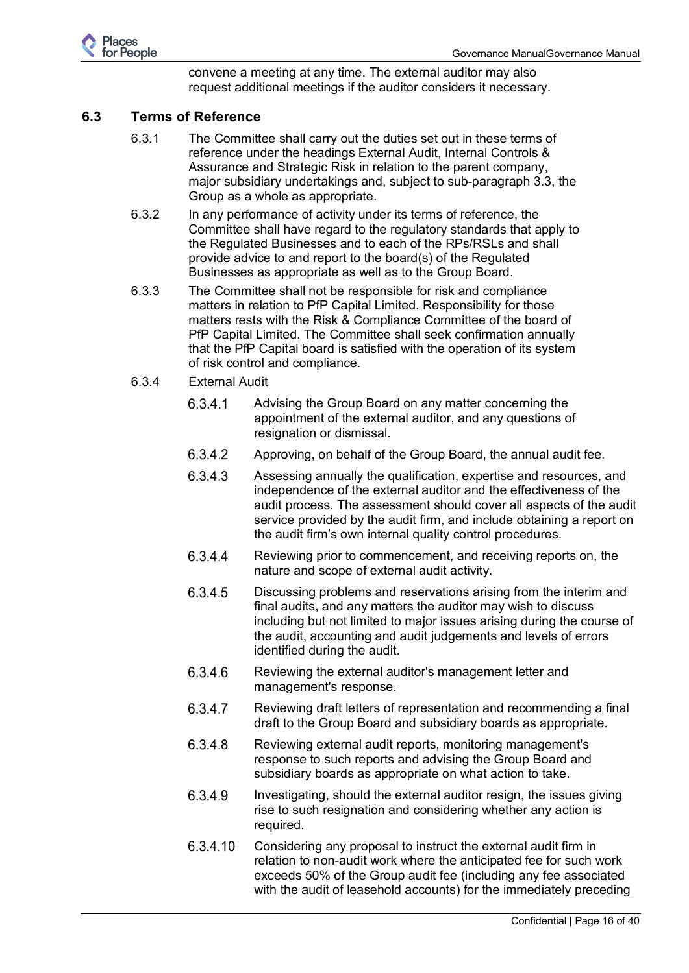

convene a meeting at any time. The external auditor may also request additional meetings if the auditor considers it necessary.

#### <span id="page-15-0"></span>**6.3 Terms of Reference**

- 6.3.1 The Committee shall carry out the duties set out in these terms of reference under the headings External Audit, Internal Controls & Assurance and Strategic Risk in relation to the parent company, major subsidiary undertakings and, subject to sub-paragraph 3.3, the Group as a whole as appropriate.
- 6.3.2 In any performance of activity under its terms of reference, the Committee shall have regard to the regulatory standards that apply to the Regulated Businesses and to each of the RPs/RSLs and shall provide advice to and report to the board(s) of the Regulated Businesses as appropriate as well as to the Group Board.
- 6.3.3 The Committee shall not be responsible for risk and compliance matters in relation to PfP Capital Limited. Responsibility for those matters rests with the Risk & Compliance Committee of the board of PfP Capital Limited. The Committee shall seek confirmation annually that the PfP Capital board is satisfied with the operation of its system of risk control and compliance.
- 6.3.4 External Audit
	- 6.3.4.1 Advising the Group Board on any matter concerning the appointment of the external auditor, and any questions of resignation or dismissal.
	- 6.3.4.2 Approving, on behalf of the Group Board, the annual audit fee.
	- 6.3.4.3 Assessing annually the qualification, expertise and resources, and independence of the external auditor and the effectiveness of the audit process. The assessment should cover all aspects of the audit service provided by the audit firm, and include obtaining a report on the audit firm's own internal quality control procedures.
	- 6.3.4.4 Reviewing prior to commencement, and receiving reports on, the nature and scope of external audit activity.
	- 6.3.4.5 Discussing problems and reservations arising from the interim and final audits, and any matters the auditor may wish to discuss including but not limited to major issues arising during the course of the audit, accounting and audit judgements and levels of errors identified during the audit.
	- 6.3.4.6 Reviewing the external auditor's management letter and management's response.
	- Reviewing draft letters of representation and recommending a final 6.3.4.7 draft to the Group Board and subsidiary boards as appropriate.
	- 6.3.4.8 Reviewing external audit reports, monitoring management's response to such reports and advising the Group Board and subsidiary boards as appropriate on what action to take.
	- Investigating, should the external auditor resign, the issues giving 6.3.4.9 rise to such resignation and considering whether any action is required.
	- 6.3.4.10 Considering any proposal to instruct the external audit firm in relation to non-audit work where the anticipated fee for such work exceeds 50% of the Group audit fee (including any fee associated with the audit of leasehold accounts) for the immediately preceding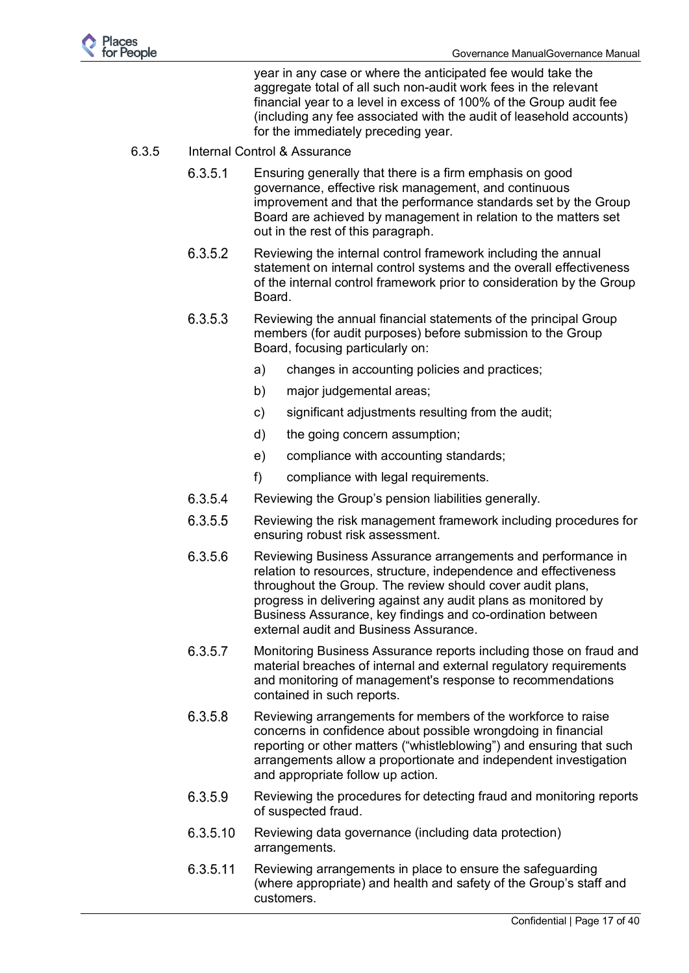year in any case or where the anticipated fee would take the agaregate total of all such non-audit work fees in the relevant financial year to a level in excess of 100% of the Group audit fee (including any fee associated with the audit of leasehold accounts) for the immediately preceding year.

#### 6.3.5 Internal Control & Assurance

- 6.3.5.1 Ensuring generally that there is a firm emphasis on good governance, effective risk management, and continuous improvement and that the performance standards set by the Group Board are achieved by management in relation to the matters set out in the rest of this paragraph.
- 6.3.5.2 Reviewing the internal control framework including the annual statement on internal control systems and the overall effectiveness of the internal control framework prior to consideration by the Group Board.
- 6.3.5.3 Reviewing the annual financial statements of the principal Group members (for audit purposes) before submission to the Group Board, focusing particularly on:
	- a) changes in accounting policies and practices;
	- b) major judgemental areas;
	- c) significant adjustments resulting from the audit;
	- d) the going concern assumption;
	- e) compliance with accounting standards;
	- f) compliance with legal requirements.
- 6.3.5.4 Reviewing the Group's pension liabilities generally.
- 6.3.5.5 Reviewing the risk management framework including procedures for ensuring robust risk assessment.
- 6.3.5.6 Reviewing Business Assurance arrangements and performance in relation to resources, structure, independence and effectiveness throughout the Group. The review should cover audit plans, progress in delivering against any audit plans as monitored by Business Assurance, key findings and co-ordination between external audit and Business Assurance.
- 6.3.5.7 Monitoring Business Assurance reports including those on fraud and material breaches of internal and external regulatory requirements and monitoring of management's response to recommendations contained in such reports.
- 6.3.5.8 Reviewing arrangements for members of the workforce to raise concerns in confidence about possible wrongdoing in financial reporting or other matters ("whistleblowing") and ensuring that such arrangements allow a proportionate and independent investigation and appropriate follow up action.
- 6.3.5.9 Reviewing the procedures for detecting fraud and monitoring reports of suspected fraud.
- 6.3.5.10 Reviewing data governance (including data protection) arrangements.
- 6.3.5.11 Reviewing arrangements in place to ensure the safeguarding (where appropriate) and health and safety of the Group's staff and customers.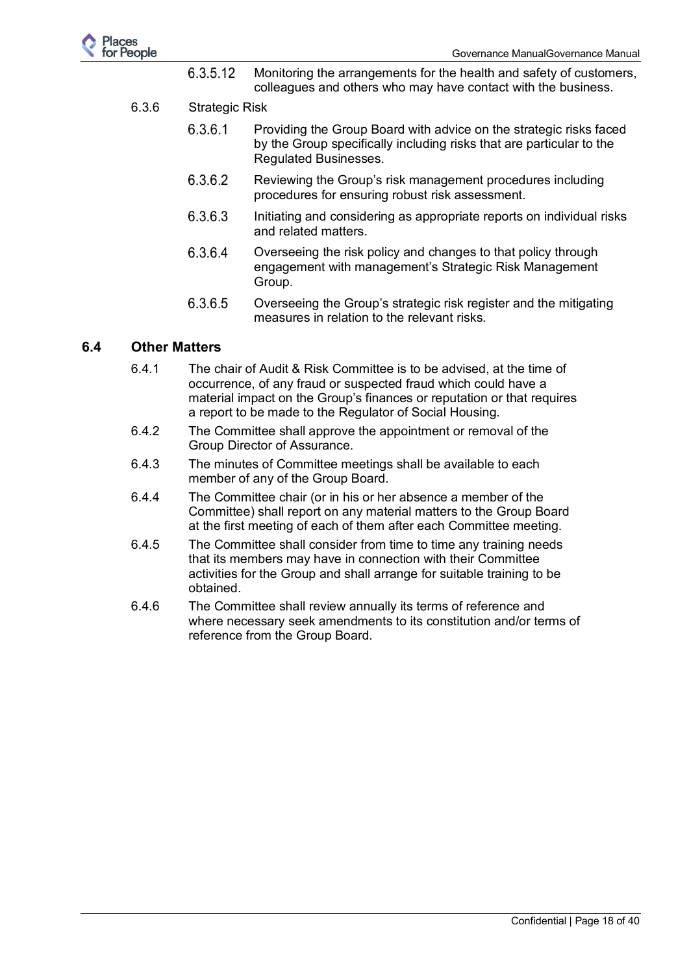6.3.5.12 Monitoring the arrangements for the health and safety of customers, colleagues and others who may have contact with the business.

#### 6.3.6 Strategic Risk

- 6.3.6.1 Providing the Group Board with advice on the strategic risks faced by the Group specifically including risks that are particular to the Regulated Businesses.
- 6.3.6.2 Reviewing the Group's risk management procedures including procedures for ensuring robust risk assessment.
- 6.3.6.3 Initiating and considering as appropriate reports on individual risks and related matters.
- 6.3.6.4 Overseeing the risk policy and changes to that policy through engagement with management's Strategic Risk Management Group.
- 6.3.6.5 Overseeing the Group's strategic risk register and the mitigating measures in relation to the relevant risks.

#### <span id="page-17-0"></span>**6.4 Other Matters**

- 6.4.1 The chair of Audit & Risk Committee is to be advised, at the time of occurrence, of any fraud or suspected fraud which could have a material impact on the Group's finances or reputation or that requires a report to be made to the Regulator of Social Housing.
- 6.4.2 The Committee shall approve the appointment or removal of the Group Director of Assurance.
- 6.4.3 The minutes of Committee meetings shall be available to each member of any of the Group Board.
- 6.4.4 The Committee chair (or in his or her absence a member of the Committee) shall report on any material matters to the Group Board at the first meeting of each of them after each Committee meeting.
- 6.4.5 The Committee shall consider from time to time any training needs that its members may have in connection with their Committee activities for the Group and shall arrange for suitable training to be obtained.
- 6.4.6 The Committee shall review annually its terms of reference and where necessary seek amendments to its constitution and/or terms of reference from the Group Board.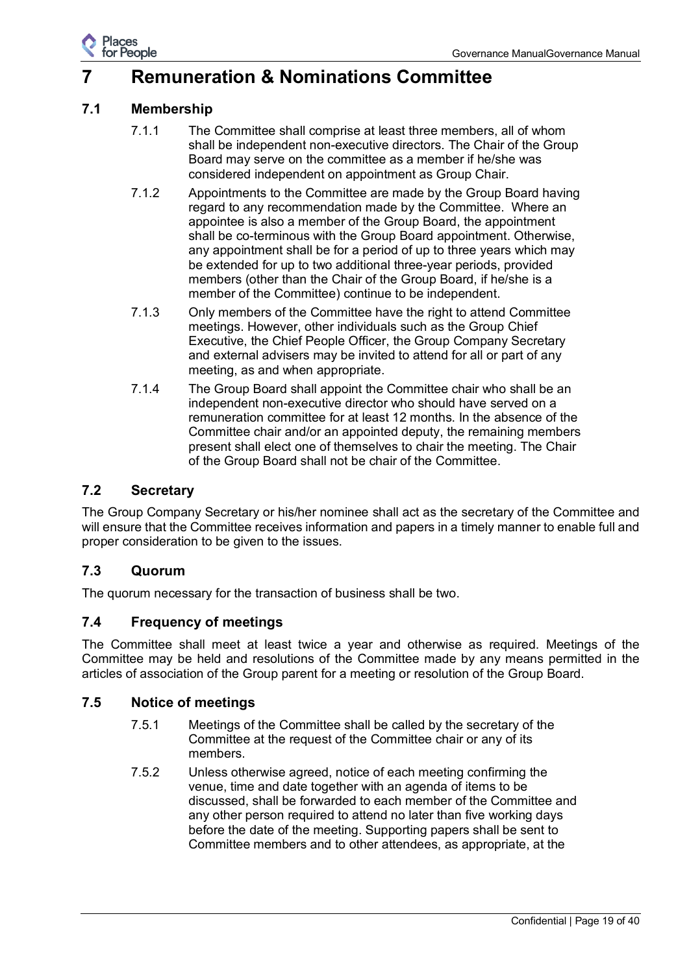

## <span id="page-18-0"></span>**7 Remuneration & Nominations Committee**

#### <span id="page-18-1"></span>**7.1 Membership**

- 7.1.1 The Committee shall comprise at least three members, all of whom shall be independent non-executive directors. The Chair of the Group Board may serve on the committee as a member if he/she was considered independent on appointment as Group Chair.
- 7.1.2 Appointments to the Committee are made by the Group Board having regard to any recommendation made by the Committee. Where an appointee is also a member of the Group Board, the appointment shall be co-terminous with the Group Board appointment. Otherwise, any appointment shall be for a period of up to three years which may be extended for up to two additional three-year periods, provided members (other than the Chair of the Group Board, if he/she is a member of the Committee) continue to be independent.
- 7.1.3 Only members of the Committee have the right to attend Committee meetings. However, other individuals such as the Group Chief Executive, the Chief People Officer, the Group Company Secretary and external advisers may be invited to attend for all or part of any meeting, as and when appropriate.
- 7.1.4 The Group Board shall appoint the Committee chair who shall be an independent non-executive director who should have served on a remuneration committee for at least 12 months. In the absence of the Committee chair and/or an appointed deputy, the remaining members present shall elect one of themselves to chair the meeting. The Chair of the Group Board shall not be chair of the Committee.

#### <span id="page-18-2"></span>**7.2 Secretary**

The Group Company Secretary or his/her nominee shall act as the secretary of the Committee and will ensure that the Committee receives information and papers in a timely manner to enable full and proper consideration to be given to the issues.

#### <span id="page-18-3"></span>**7.3 Quorum**

The quorum necessary for the transaction of business shall be two.

#### <span id="page-18-4"></span>**7.4 Frequency of meetings**

The Committee shall meet at least twice a year and otherwise as required. Meetings of the Committee may be held and resolutions of the Committee made by any means permitted in the articles of association of the Group parent for a meeting or resolution of the Group Board.

#### <span id="page-18-5"></span>**7.5 Notice of meetings**

- 7.5.1 Meetings of the Committee shall be called by the secretary of the Committee at the request of the Committee chair or any of its members.
- 7.5.2 Unless otherwise agreed, notice of each meeting confirming the venue, time and date together with an agenda of items to be discussed, shall be forwarded to each member of the Committee and any other person required to attend no later than five working days before the date of the meeting. Supporting papers shall be sent to Committee members and to other attendees, as appropriate, at the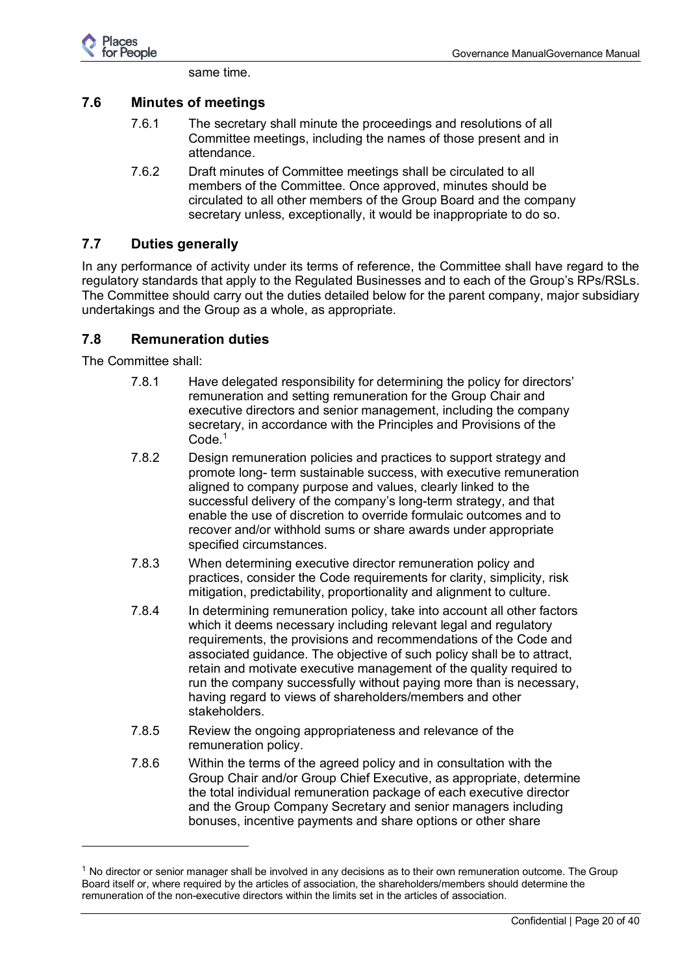

same time.

#### <span id="page-19-0"></span>**7.6 Minutes of meetings**

- 7.6.1 The secretary shall minute the proceedings and resolutions of all Committee meetings, including the names of those present and in attendance.
- 7.6.2 Draft minutes of Committee meetings shall be circulated to all members of the Committee. Once approved, minutes should be circulated to all other members of the Group Board and the company secretary unless, exceptionally, it would be inappropriate to do so.

#### <span id="page-19-1"></span>**7.7 Duties generally**

In any performance of activity under its terms of reference, the Committee shall have regard to the regulatory standards that apply to the Regulated Businesses and to each of the Group's RPs/RSLs. The Committee should carry out the duties detailed below for the parent company, major subsidiary undertakings and the Group as a whole, as appropriate.

#### <span id="page-19-2"></span>**7.8 Remuneration duties**

The Committee shall:

- 7.8.1 Have delegated responsibility for determining the policy for directors' remuneration and setting remuneration for the Group Chair and executive directors and senior management, including the company secretary, in accordance with the Principles and Provisions of the Code<sup>[1](#page-19-3)</sup>
- 7.8.2 Design remuneration policies and practices to support strategy and promote long- term sustainable success, with executive remuneration aligned to company purpose and values, clearly linked to the successful delivery of the company's long-term strategy, and that enable the use of discretion to override formulaic outcomes and to recover and/or withhold sums or share awards under appropriate specified circumstances.
- 7.8.3 When determining executive director remuneration policy and practices, consider the Code requirements for clarity, simplicity, risk mitigation, predictability, proportionality and alignment to culture.
- 7.8.4 In determining remuneration policy, take into account all other factors which it deems necessary including relevant legal and regulatory requirements, the provisions and recommendations of the Code and associated guidance. The objective of such policy shall be to attract, retain and motivate executive management of the quality required to run the company successfully without paying more than is necessary, having regard to views of shareholders/members and other stakeholders.
- 7.8.5 Review the ongoing appropriateness and relevance of the remuneration policy.
- 7.8.6 Within the terms of the agreed policy and in consultation with the Group Chair and/or Group Chief Executive, as appropriate, determine the total individual remuneration package of each executive director and the Group Company Secretary and senior managers including bonuses, incentive payments and share options or other share

<span id="page-19-3"></span> $1$  No director or senior manager shall be involved in any decisions as to their own remuneration outcome. The Group Board itself or, where required by the articles of association, the shareholders/members should determine the remuneration of the non-executive directors within the limits set in the articles of association.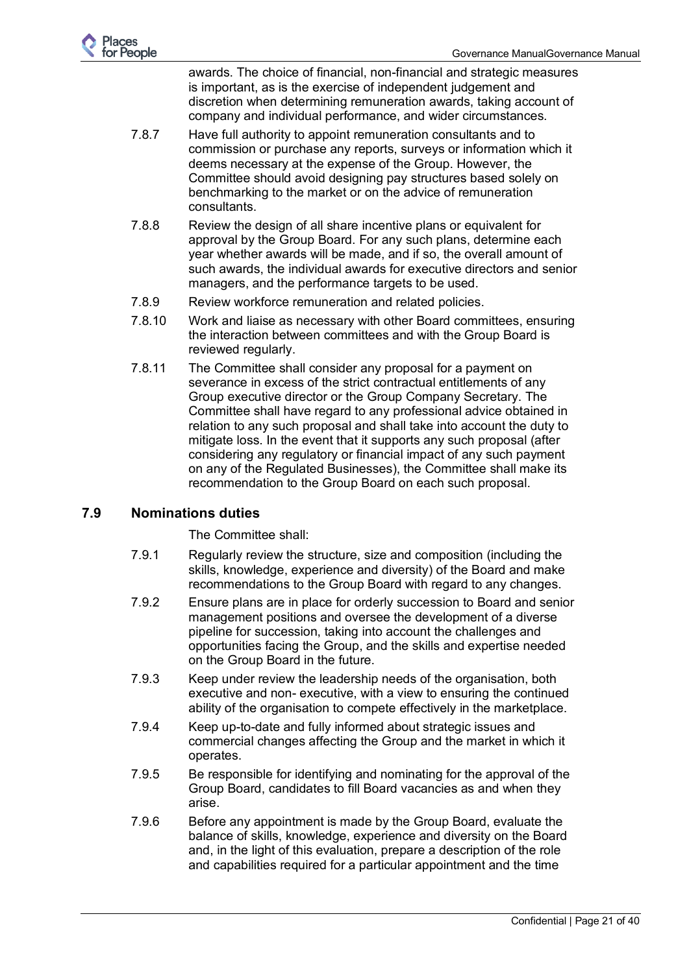awards. The choice of financial, non-financial and strategic measures is important, as is the exercise of independent judgement and discretion when determining remuneration awards, taking account of company and individual performance, and wider circumstances.

- 7.8.7 Have full authority to appoint remuneration consultants and to commission or purchase any reports, surveys or information which it deems necessary at the expense of the Group. However, the Committee should avoid designing pay structures based solely on benchmarking to the market or on the advice of remuneration consultants.
- 7.8.8 Review the design of all share incentive plans or equivalent for approval by the Group Board. For any such plans, determine each year whether awards will be made, and if so, the overall amount of such awards, the individual awards for executive directors and senior managers, and the performance targets to be used.
- 7.8.9 Review workforce remuneration and related policies.
- 7.8.10 Work and liaise as necessary with other Board committees, ensuring the interaction between committees and with the Group Board is reviewed regularly.
- 7.8.11 The Committee shall consider any proposal for a payment on severance in excess of the strict contractual entitlements of any Group executive director or the Group Company Secretary. The Committee shall have regard to any professional advice obtained in relation to any such proposal and shall take into account the duty to mitigate loss. In the event that it supports any such proposal (after considering any regulatory or financial impact of any such payment on any of the Regulated Businesses), the Committee shall make its recommendation to the Group Board on each such proposal.

#### <span id="page-20-0"></span>**7.9 Nominations duties**

The Committee shall:

- 7.9.1 Regularly review the structure, size and composition (including the skills, knowledge, experience and diversity) of the Board and make recommendations to the Group Board with regard to any changes.
- 7.9.2 Ensure plans are in place for orderly succession to Board and senior management positions and oversee the development of a diverse pipeline for succession, taking into account the challenges and opportunities facing the Group, and the skills and expertise needed on the Group Board in the future.
- 7.9.3 Keep under review the leadership needs of the organisation, both executive and non- executive, with a view to ensuring the continued ability of the organisation to compete effectively in the marketplace.
- 7.9.4 Keep up-to-date and fully informed about strategic issues and commercial changes affecting the Group and the market in which it operates.
- 7.9.5 Be responsible for identifying and nominating for the approval of the Group Board, candidates to fill Board vacancies as and when they arise.
- 7.9.6 Before any appointment is made by the Group Board, evaluate the balance of skills, knowledge, experience and diversity on the Board and, in the light of this evaluation, prepare a description of the role and capabilities required for a particular appointment and the time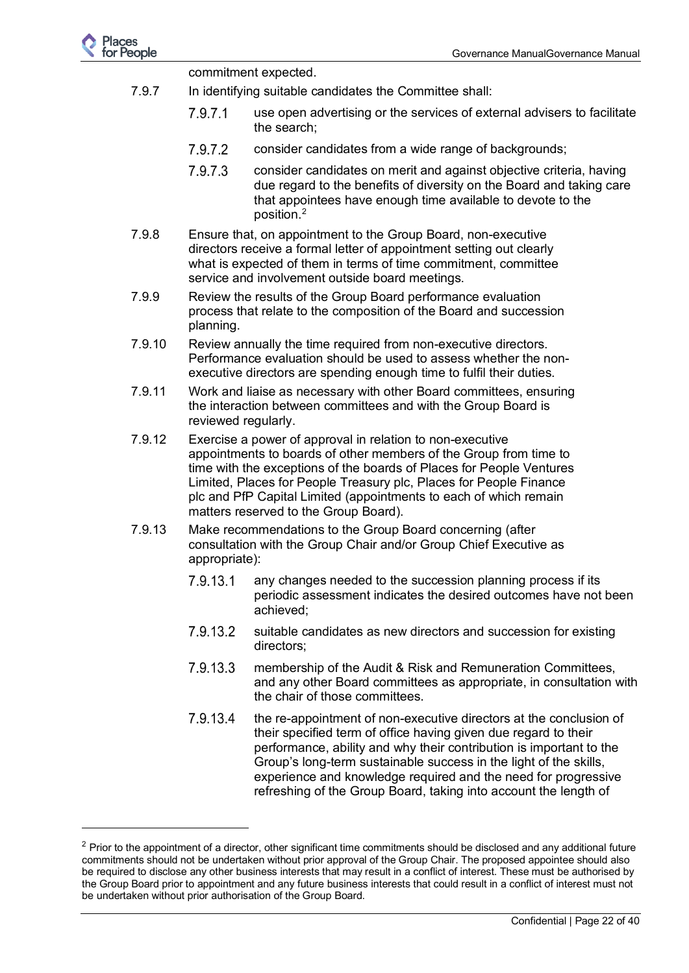commitment expected.

- 7.9.7 In identifying suitable candidates the Committee shall:
	- 7.9.7.1 use open advertising or the services of external advisers to facilitate the search;
	- 7.9.7.2 consider candidates from a wide range of backgrounds;
	- 7.9.7.3 consider candidates on merit and against objective criteria, having due regard to the benefits of diversity on the Board and taking care that appointees have enough time available to devote to the position.[2](#page-21-0)
- 7.9.8 Ensure that, on appointment to the Group Board, non-executive directors receive a formal letter of appointment setting out clearly what is expected of them in terms of time commitment, committee service and involvement outside board meetings.
- 7.9.9 Review the results of the Group Board performance evaluation process that relate to the composition of the Board and succession planning.
- 7.9.10 Review annually the time required from non-executive directors. Performance evaluation should be used to assess whether the nonexecutive directors are spending enough time to fulfil their duties.
- 7.9.11 Work and liaise as necessary with other Board committees, ensuring the interaction between committees and with the Group Board is reviewed regularly.
- 7.9.12 Exercise a power of approval in relation to non-executive appointments to boards of other members of the Group from time to time with the exceptions of the boards of Places for People Ventures Limited, Places for People Treasury plc, Places for People Finance plc and PfP Capital Limited (appointments to each of which remain matters reserved to the Group Board).
- 7.9.13 Make recommendations to the Group Board concerning (after consultation with the Group Chair and/or Group Chief Executive as appropriate):
	- 7.9.13.1 any changes needed to the succession planning process if its periodic assessment indicates the desired outcomes have not been achieved;
	- 7.9.13.2 suitable candidates as new directors and succession for existing directors;
	- 7.9.13.3 membership of the Audit & Risk and Remuneration Committees, and any other Board committees as appropriate, in consultation with the chair of those committees.
	- 7.9.13.4 the re-appointment of non-executive directors at the conclusion of their specified term of office having given due regard to their performance, ability and why their contribution is important to the Group's long-term sustainable success in the light of the skills, experience and knowledge required and the need for progressive refreshing of the Group Board, taking into account the length of

<span id="page-21-0"></span> $2$  Prior to the appointment of a director, other significant time commitments should be disclosed and any additional future commitments should not be undertaken without prior approval of the Group Chair. The proposed appointee should also be required to disclose any other business interests that may result in a conflict of interest. These must be authorised by the Group Board prior to appointment and any future business interests that could result in a conflict of interest must not be undertaken without prior authorisation of the Group Board.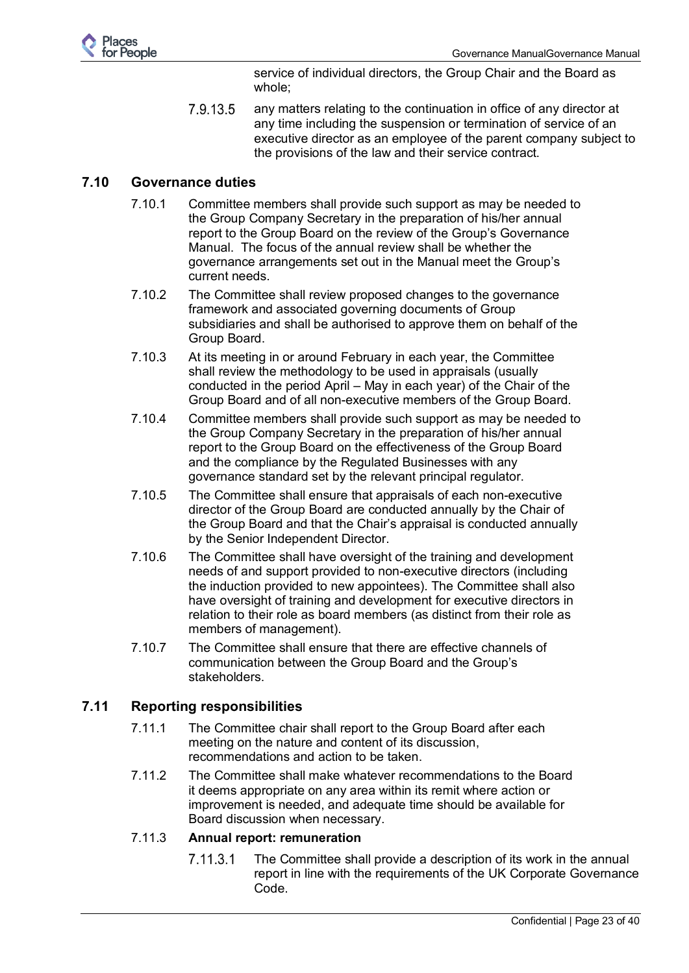service of individual directors, the Group Chair and the Board as whole;

7.9.13.5 any matters relating to the continuation in office of any director at any time including the suspension or termination of service of an executive director as an employee of the parent company subject to the provisions of the law and their service contract.

#### <span id="page-22-0"></span>**7.10 Governance duties**

- 7.10.1 Committee members shall provide such support as may be needed to the Group Company Secretary in the preparation of his/her annual report to the Group Board on the review of the Group's Governance Manual. The focus of the annual review shall be whether the governance arrangements set out in the Manual meet the Group's current needs.
- 7.10.2 The Committee shall review proposed changes to the governance framework and associated governing documents of Group subsidiaries and shall be authorised to approve them on behalf of the Group Board.
- 7.10.3 At its meeting in or around February in each year, the Committee shall review the methodology to be used in appraisals (usually conducted in the period April – May in each year) of the Chair of the Group Board and of all non-executive members of the Group Board.
- 7.10.4 Committee members shall provide such support as may be needed to the Group Company Secretary in the preparation of his/her annual report to the Group Board on the effectiveness of the Group Board and the compliance by the Regulated Businesses with any governance standard set by the relevant principal regulator.
- 7.10.5 The Committee shall ensure that appraisals of each non-executive director of the Group Board are conducted annually by the Chair of the Group Board and that the Chair's appraisal is conducted annually by the Senior Independent Director.
- 7.10.6 The Committee shall have oversight of the training and development needs of and support provided to non-executive directors (including the induction provided to new appointees). The Committee shall also have oversight of training and development for executive directors in relation to their role as board members (as distinct from their role as members of management).
- 7.10.7 The Committee shall ensure that there are effective channels of communication between the Group Board and the Group's stakeholders.

## <span id="page-22-1"></span>**7.11 Reporting responsibilities**

- 7.11.1 The Committee chair shall report to the Group Board after each meeting on the nature and content of its discussion, recommendations and action to be taken.
- 7.11.2 The Committee shall make whatever recommendations to the Board it deems appropriate on any area within its remit where action or improvement is needed, and adequate time should be available for Board discussion when necessary.

#### 7.11.3 **Annual report: remuneration**

7.11.3.1 The Committee shall provide a description of its work in the annual report in line with the requirements of the UK Corporate Governance Code.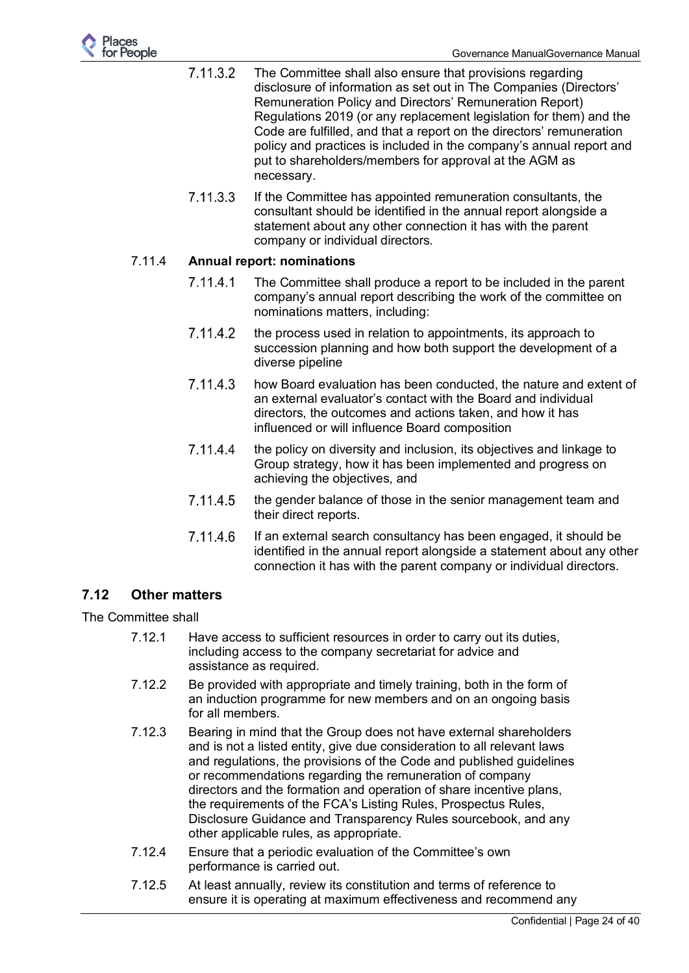- 7.11.3.2 The Committee shall also ensure that provisions regarding disclosure of information as set out in The Companies (Directors' Remuneration Policy and Directors' Remuneration Report) Regulations 2019 (or any replacement legislation for them) and the Code are fulfilled, and that a report on the directors' remuneration policy and practices is included in the company's annual report and put to shareholders/members for approval at the AGM as necessary.
- $7.11.3.3$ If the Committee has appointed remuneration consultants, the consultant should be identified in the annual report alongside a statement about any other connection it has with the parent company or individual directors.

#### 7.11.4 **Annual report: nominations**

- 7.11.4.1 The Committee shall produce a report to be included in the parent company's annual report describing the work of the committee on nominations matters, including:
- 7.11.4.2 the process used in relation to appointments, its approach to succession planning and how both support the development of a diverse pipeline
- how Board evaluation has been conducted, the nature and extent of 7.11.4.3 an external evaluator's contact with the Board and individual directors, the outcomes and actions taken, and how it has influenced or will influence Board composition
- 7.11.4.4 the policy on diversity and inclusion, its objectives and linkage to Group strategy, how it has been implemented and progress on achieving the objectives, and
- $7.11.4.5$ the gender balance of those in the senior management team and their direct reports.
- 7.11.4.6 If an external search consultancy has been engaged, it should be identified in the annual report alongside a statement about any other connection it has with the parent company or individual directors.

#### <span id="page-23-0"></span>**7.12 Other matters**

The Committee shall

- 7.12.1 Have access to sufficient resources in order to carry out its duties, including access to the company secretariat for advice and assistance as required.
- 7.12.2 Be provided with appropriate and timely training, both in the form of an induction programme for new members and on an ongoing basis for all members.
- 7.12.3 Bearing in mind that the Group does not have external shareholders and is not a listed entity, give due consideration to all relevant laws and regulations, the provisions of the Code and published guidelines or recommendations regarding the remuneration of company directors and the formation and operation of share incentive plans, the requirements of the FCA's Listing Rules, Prospectus Rules, Disclosure Guidance and Transparency Rules sourcebook, and any other applicable rules, as appropriate.
- 7.12.4 Ensure that a periodic evaluation of the Committee's own performance is carried out.
- 7.12.5 At least annually, review its constitution and terms of reference to ensure it is operating at maximum effectiveness and recommend any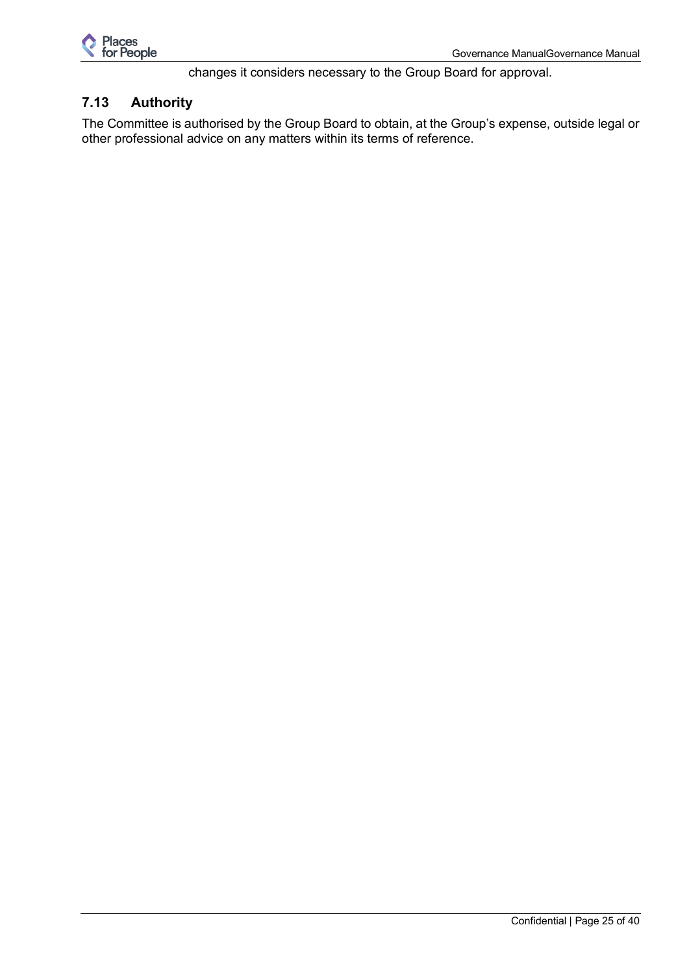

changes it considers necessary to the Group Board for approval.

#### <span id="page-24-0"></span>**7.13 Authority**

The Committee is authorised by the Group Board to obtain, at the Group's expense, outside legal or other professional advice on any matters within its terms of reference.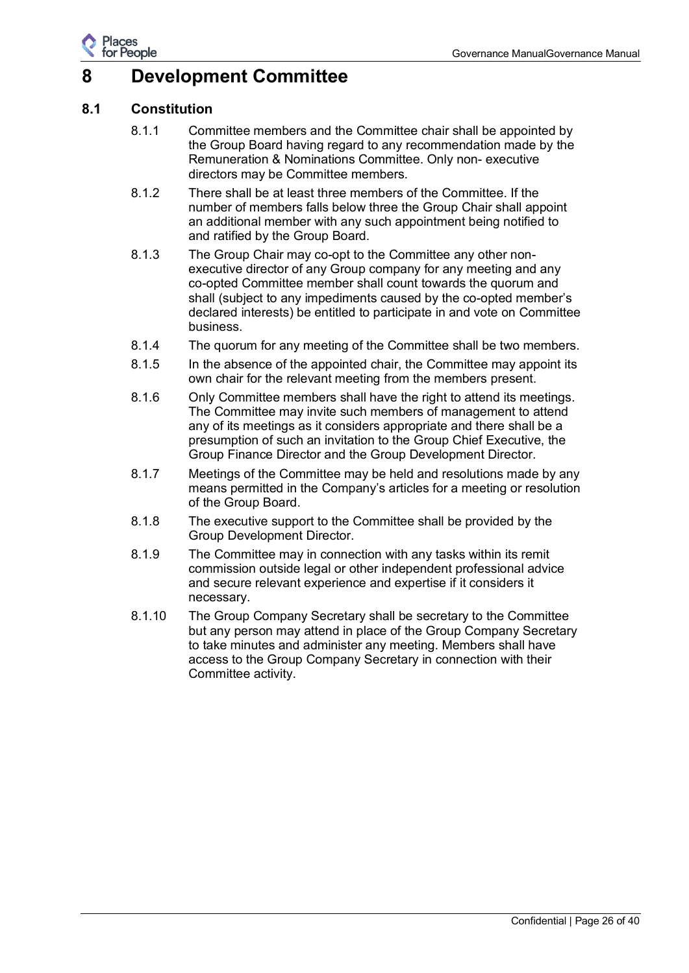

## <span id="page-25-0"></span>**8 Development Committee**

#### <span id="page-25-1"></span>**8.1 Constitution**

- 8.1.1 Committee members and the Committee chair shall be appointed by the Group Board having regard to any recommendation made by the Remuneration & Nominations Committee. Only non- executive directors may be Committee members.
- 8.1.2 There shall be at least three members of the Committee. If the number of members falls below three the Group Chair shall appoint an additional member with any such appointment being notified to and ratified by the Group Board.
- 8.1.3 The Group Chair may co-opt to the Committee any other nonexecutive director of any Group company for any meeting and any co-opted Committee member shall count towards the quorum and shall (subject to any impediments caused by the co-opted member's declared interests) be entitled to participate in and vote on Committee business.
- 8.1.4 The quorum for any meeting of the Committee shall be two members.
- 8.1.5 In the absence of the appointed chair, the Committee may appoint its own chair for the relevant meeting from the members present.
- 8.1.6 Only Committee members shall have the right to attend its meetings. The Committee may invite such members of management to attend any of its meetings as it considers appropriate and there shall be a presumption of such an invitation to the Group Chief Executive, the Group Finance Director and the Group Development Director.
- 8.1.7 Meetings of the Committee may be held and resolutions made by any means permitted in the Company's articles for a meeting or resolution of the Group Board.
- 8.1.8 The executive support to the Committee shall be provided by the Group Development Director.
- 8.1.9 The Committee may in connection with any tasks within its remit commission outside legal or other independent professional advice and secure relevant experience and expertise if it considers it necessary.
- 8.1.10 The Group Company Secretary shall be secretary to the Committee but any person may attend in place of the Group Company Secretary to take minutes and administer any meeting. Members shall have access to the Group Company Secretary in connection with their Committee activity.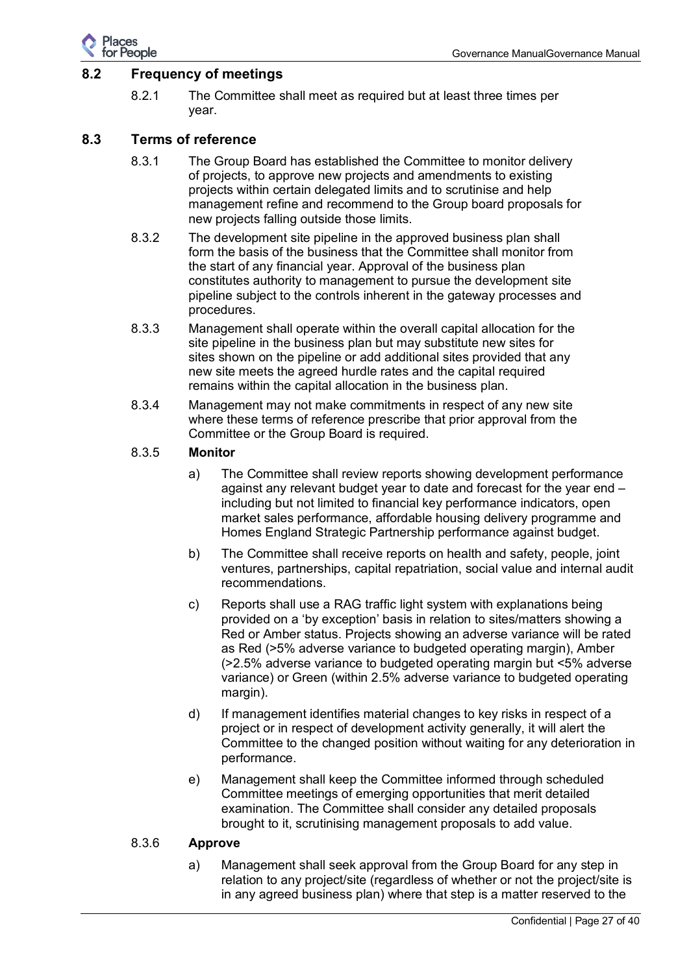

#### <span id="page-26-0"></span>**8.2 Frequency of meetings**

8.2.1 The Committee shall meet as required but at least three times per year.

#### <span id="page-26-1"></span>**8.3 Terms of reference**

- 8.3.1 The Group Board has established the Committee to monitor delivery of projects, to approve new projects and amendments to existing projects within certain delegated limits and to scrutinise and help management refine and recommend to the Group board proposals for new projects falling outside those limits.
- 8.3.2 The development site pipeline in the approved business plan shall form the basis of the business that the Committee shall monitor from the start of any financial year. Approval of the business plan constitutes authority to management to pursue the development site pipeline subject to the controls inherent in the gateway processes and procedures.
- 8.3.3 Management shall operate within the overall capital allocation for the site pipeline in the business plan but may substitute new sites for sites shown on the pipeline or add additional sites provided that any new site meets the agreed hurdle rates and the capital required remains within the capital allocation in the business plan.
- 8.3.4 Management may not make commitments in respect of any new site where these terms of reference prescribe that prior approval from the Committee or the Group Board is required.

#### 8.3.5 **Monitor**

- a) The Committee shall review reports showing development performance against any relevant budget year to date and forecast for the year end – including but not limited to financial key performance indicators, open market sales performance, affordable housing delivery programme and Homes England Strategic Partnership performance against budget.
- b) The Committee shall receive reports on health and safety, people, joint ventures, partnerships, capital repatriation, social value and internal audit recommendations.
- c) Reports shall use a RAG traffic light system with explanations being provided on a 'by exception' basis in relation to sites/matters showing a Red or Amber status. Projects showing an adverse variance will be rated as Red (>5% adverse variance to budgeted operating margin), Amber (>2.5% adverse variance to budgeted operating margin but <5% adverse variance) or Green (within 2.5% adverse variance to budgeted operating margin).
- d) If management identifies material changes to key risks in respect of a project or in respect of development activity generally, it will alert the Committee to the changed position without waiting for any deterioration in performance.
- e) Management shall keep the Committee informed through scheduled Committee meetings of emerging opportunities that merit detailed examination. The Committee shall consider any detailed proposals brought to it, scrutinising management proposals to add value.

#### 8.3.6 **Approve**

a) Management shall seek approval from the Group Board for any step in relation to any project/site (regardless of whether or not the project/site is in any agreed business plan) where that step is a matter reserved to the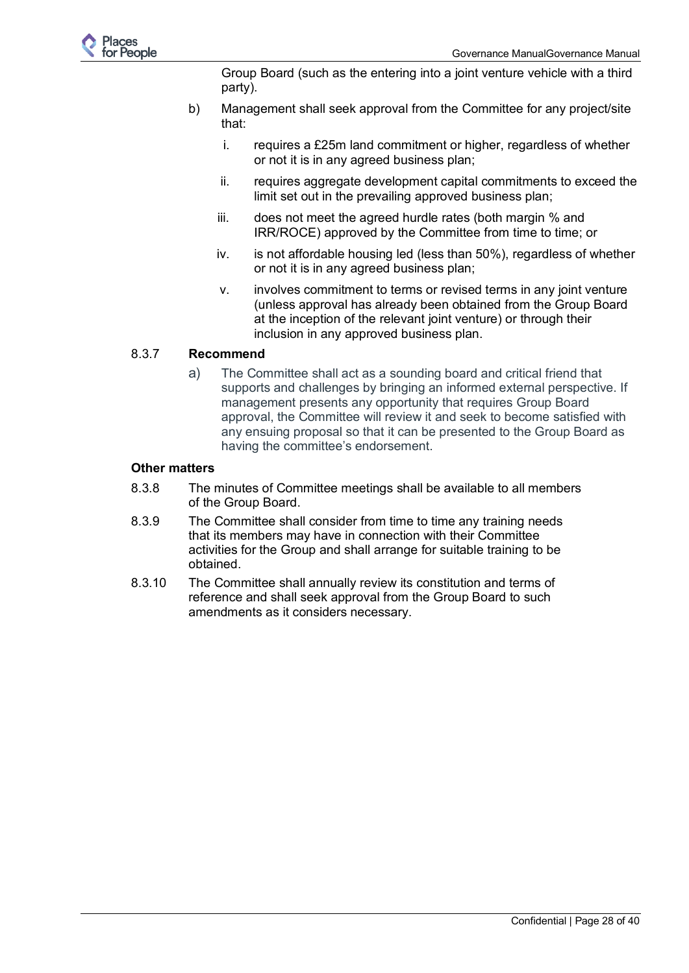Group Board (such as the entering into a joint venture vehicle with a third party).

- b) Management shall seek approval from the Committee for any project/site that:
	- i. requires a £25m land commitment or higher, regardless of whether or not it is in any agreed business plan;
	- ii. requires aggregate development capital commitments to exceed the limit set out in the prevailing approved business plan;
	- iii. does not meet the agreed hurdle rates (both margin % and IRR/ROCE) approved by the Committee from time to time; or
	- iv. is not affordable housing led (less than 50%), regardless of whether or not it is in any agreed business plan;
	- v. involves commitment to terms or revised terms in any joint venture (unless approval has already been obtained from the Group Board at the inception of the relevant joint venture) or through their inclusion in any approved business plan.

#### 8.3.7 **Recommend**

a) The Committee shall act as a sounding board and critical friend that supports and challenges by bringing an informed external perspective. If management presents any opportunity that requires Group Board approval, the Committee will review it and seek to become satisfied with any ensuing proposal so that it can be presented to the Group Board as having the committee's endorsement.

#### **Other matters**

- <span id="page-27-0"></span>8.3.8 The minutes of Committee meetings shall be available to all members of the Group Board.
- 8.3.9 The Committee shall consider from time to time any training needs that its members may have in connection with their Committee activities for the Group and shall arrange for suitable training to be obtained.
- 8.3.10 The Committee shall annually review its constitution and terms of reference and shall seek approval from the Group Board to such amendments as it considers necessary.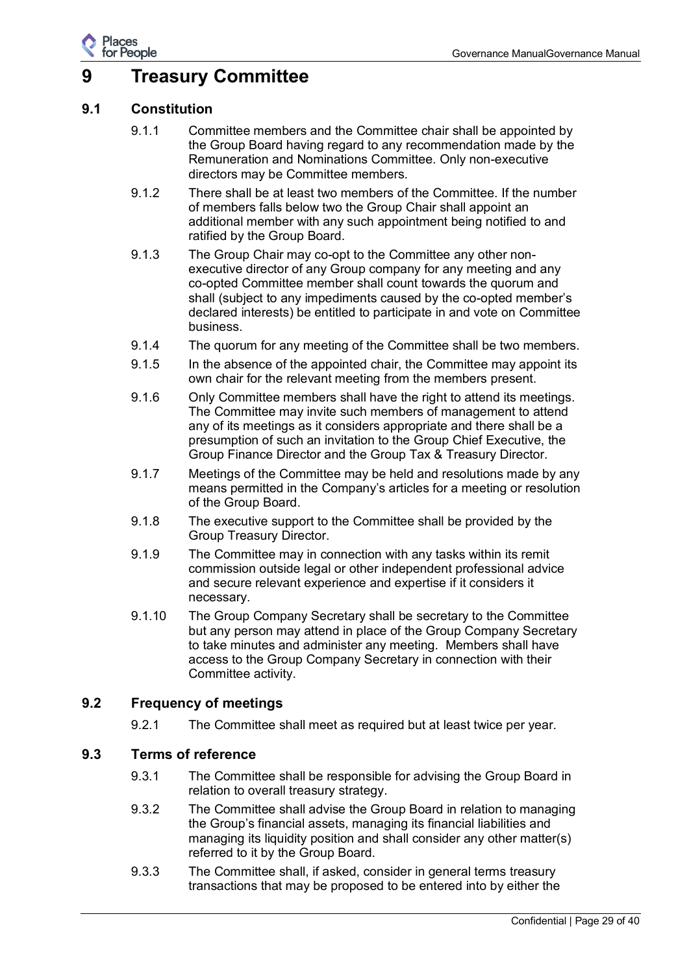

## <span id="page-28-0"></span>**9 Treasury Committee**

#### <span id="page-28-1"></span>**9.1 Constitution**

- 9.1.1 Committee members and the Committee chair shall be appointed by the Group Board having regard to any recommendation made by the Remuneration and Nominations Committee. Only non-executive directors may be Committee members.
- 9.1.2 There shall be at least two members of the Committee. If the number of members falls below two the Group Chair shall appoint an additional member with any such appointment being notified to and ratified by the Group Board.
- 9.1.3 The Group Chair may co-opt to the Committee any other nonexecutive director of any Group company for any meeting and any co-opted Committee member shall count towards the quorum and shall (subject to any impediments caused by the co-opted member's declared interests) be entitled to participate in and vote on Committee business.
- 9.1.4 The quorum for any meeting of the Committee shall be two members.
- 9.1.5 In the absence of the appointed chair, the Committee may appoint its own chair for the relevant meeting from the members present.
- 9.1.6 Only Committee members shall have the right to attend its meetings. The Committee may invite such members of management to attend any of its meetings as it considers appropriate and there shall be a presumption of such an invitation to the Group Chief Executive, the Group Finance Director and the Group Tax & Treasury Director.
- 9.1.7 Meetings of the Committee may be held and resolutions made by any means permitted in the Company's articles for a meeting or resolution of the Group Board.
- 9.1.8 The executive support to the Committee shall be provided by the Group Treasury Director.
- 9.1.9 The Committee may in connection with any tasks within its remit commission outside legal or other independent professional advice and secure relevant experience and expertise if it considers it necessary.
- 9.1.10 The Group Company Secretary shall be secretary to the Committee but any person may attend in place of the Group Company Secretary to take minutes and administer any meeting. Members shall have access to the Group Company Secretary in connection with their Committee activity.

#### <span id="page-28-2"></span>**9.2 Frequency of meetings**

9.2.1 The Committee shall meet as required but at least twice per year.

#### <span id="page-28-3"></span>**9.3 Terms of reference**

- 9.3.1 The Committee shall be responsible for advising the Group Board in relation to overall treasury strategy.
- 9.3.2 The Committee shall advise the Group Board in relation to managing the Group's financial assets, managing its financial liabilities and managing its liquidity position and shall consider any other matter(s) referred to it by the Group Board.
- 9.3.3 The Committee shall, if asked, consider in general terms treasury transactions that may be proposed to be entered into by either the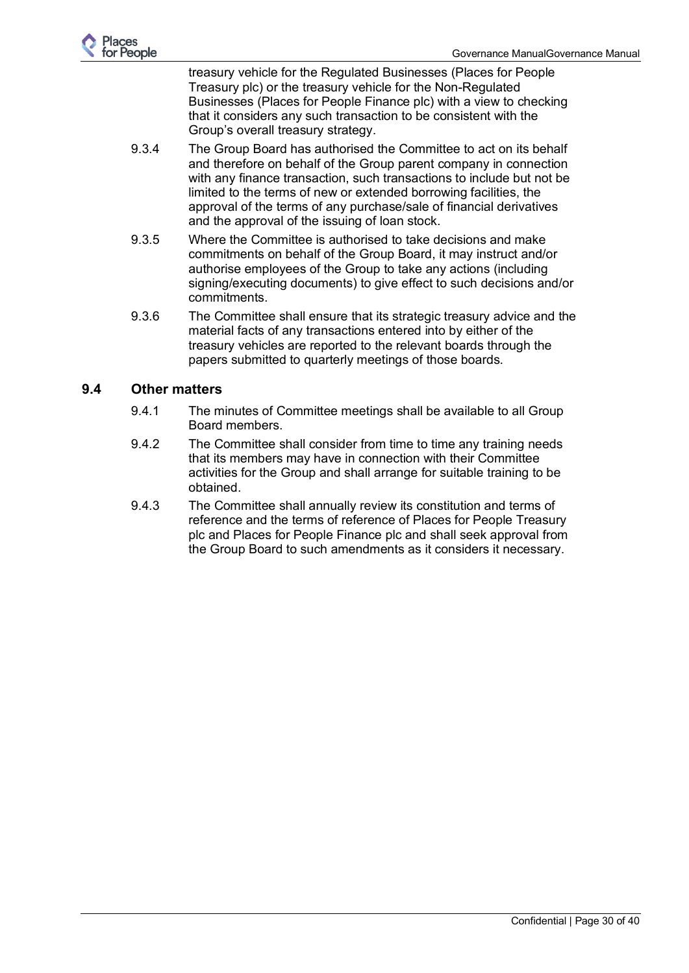treasury vehicle for the Regulated Businesses (Places for People Treasury plc) or the treasury vehicle for the Non-Regulated Businesses (Places for People Finance plc) with a view to checking that it considers any such transaction to be consistent with the Group's overall treasury strategy.

- 9.3.4 The Group Board has authorised the Committee to act on its behalf and therefore on behalf of the Group parent company in connection with any finance transaction, such transactions to include but not be limited to the terms of new or extended borrowing facilities, the approval of the terms of any purchase/sale of financial derivatives and the approval of the issuing of loan stock.
- 9.3.5 Where the Committee is authorised to take decisions and make commitments on behalf of the Group Board, it may instruct and/or authorise employees of the Group to take any actions (including signing/executing documents) to give effect to such decisions and/or commitments.
- 9.3.6 The Committee shall ensure that its strategic treasury advice and the material facts of any transactions entered into by either of the treasury vehicles are reported to the relevant boards through the papers submitted to quarterly meetings of those boards.

#### <span id="page-29-0"></span>**9.4 Other matters**

- 9.4.1 The minutes of Committee meetings shall be available to all Group Board members.
- 9.4.2 The Committee shall consider from time to time any training needs that its members may have in connection with their Committee activities for the Group and shall arrange for suitable training to be obtained.
- 9.4.3 The Committee shall annually review its constitution and terms of reference and the terms of reference of Places for People Treasury plc and Places for People Finance plc and shall seek approval from the Group Board to such amendments as it considers it necessary.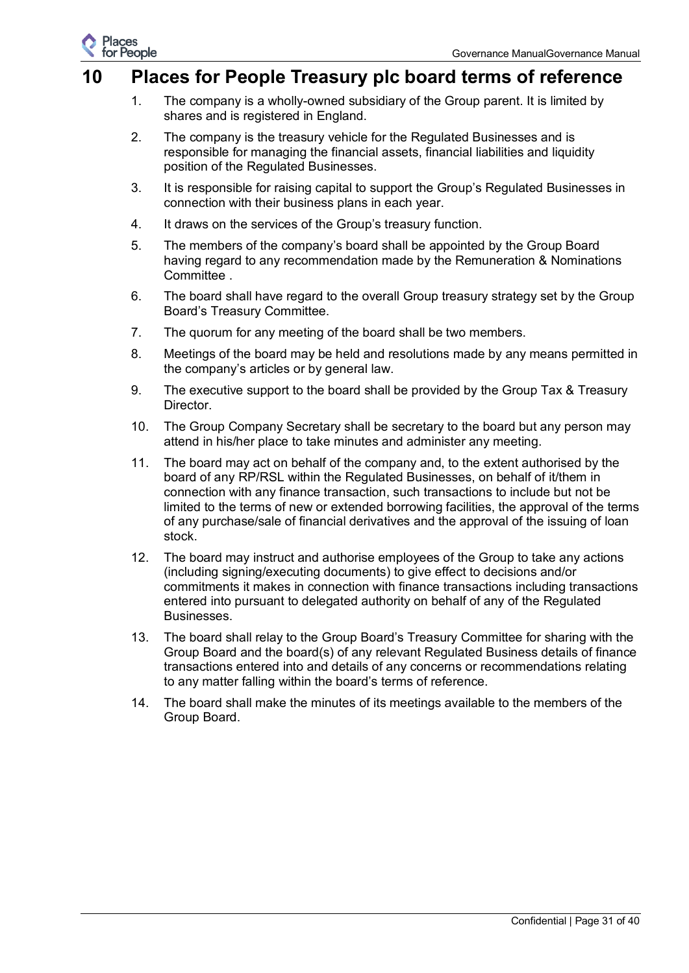

## <span id="page-30-0"></span>**10 Places for People Treasury plc board terms of reference**

- 1. The company is a wholly-owned subsidiary of the Group parent. It is limited by shares and is registered in England.
- 2. The company is the treasury vehicle for the Regulated Businesses and is responsible for managing the financial assets, financial liabilities and liquidity position of the Regulated Businesses.
- 3. It is responsible for raising capital to support the Group's Regulated Businesses in connection with their business plans in each year.
- 4. It draws on the services of the Group's treasury function.
- 5. The members of the company's board shall be appointed by the Group Board having regard to any recommendation made by the Remuneration & Nominations Committee .
- 6. The board shall have regard to the overall Group treasury strategy set by the Group Board's Treasury Committee.
- 7. The quorum for any meeting of the board shall be two members.
- 8. Meetings of the board may be held and resolutions made by any means permitted in the company's articles or by general law.
- 9. The executive support to the board shall be provided by the Group Tax & Treasury Director.
- 10. The Group Company Secretary shall be secretary to the board but any person may attend in his/her place to take minutes and administer any meeting.
- 11. The board may act on behalf of the company and, to the extent authorised by the board of any RP/RSL within the Regulated Businesses, on behalf of it/them in connection with any finance transaction, such transactions to include but not be limited to the terms of new or extended borrowing facilities, the approval of the terms of any purchase/sale of financial derivatives and the approval of the issuing of loan stock.
- 12. The board may instruct and authorise employees of the Group to take any actions (including signing/executing documents) to give effect to decisions and/or commitments it makes in connection with finance transactions including transactions entered into pursuant to delegated authority on behalf of any of the Regulated Businesses.
- 13. The board shall relay to the Group Board's Treasury Committee for sharing with the Group Board and the board(s) of any relevant Regulated Business details of finance transactions entered into and details of any concerns or recommendations relating to any matter falling within the board's terms of reference.
- 14. The board shall make the minutes of its meetings available to the members of the Group Board.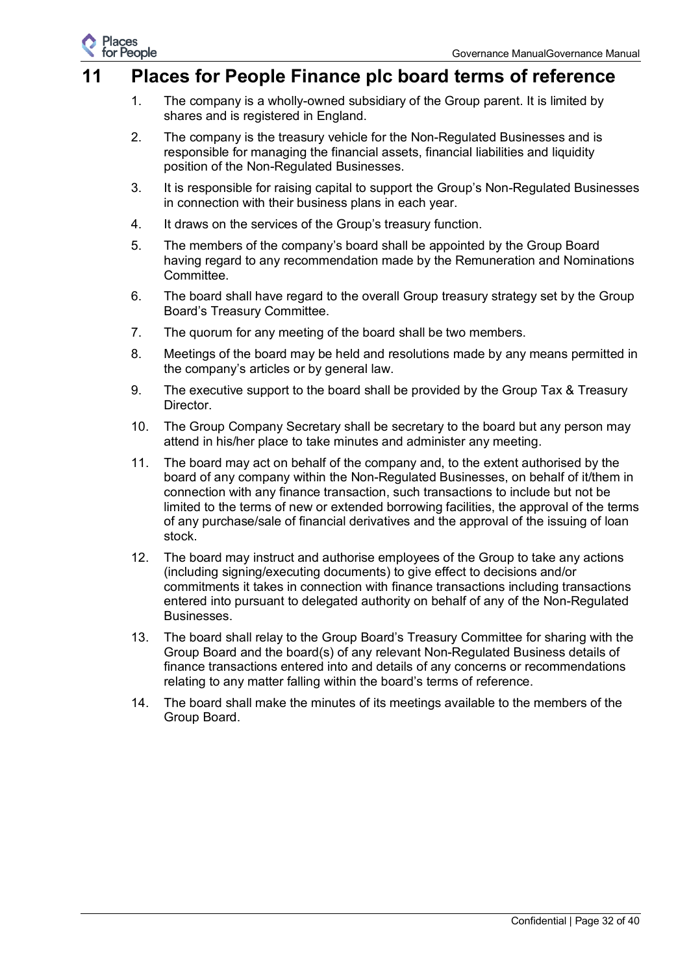

## <span id="page-31-0"></span>**11 Places for People Finance plc board terms of reference**

- 1. The company is a wholly-owned subsidiary of the Group parent. It is limited by shares and is registered in England.
- 2. The company is the treasury vehicle for the Non-Regulated Businesses and is responsible for managing the financial assets, financial liabilities and liquidity position of the Non-Regulated Businesses.
- 3. It is responsible for raising capital to support the Group's Non-Regulated Businesses in connection with their business plans in each year.
- 4. It draws on the services of the Group's treasury function.
- 5. The members of the company's board shall be appointed by the Group Board having regard to any recommendation made by the Remuneration and Nominations Committee.
- 6. The board shall have regard to the overall Group treasury strategy set by the Group Board's Treasury Committee.
- 7. The quorum for any meeting of the board shall be two members.
- 8. Meetings of the board may be held and resolutions made by any means permitted in the company's articles or by general law.
- 9. The executive support to the board shall be provided by the Group Tax & Treasury Director.
- 10. The Group Company Secretary shall be secretary to the board but any person may attend in his/her place to take minutes and administer any meeting.
- 11. The board may act on behalf of the company and, to the extent authorised by the board of any company within the Non-Regulated Businesses, on behalf of it/them in connection with any finance transaction, such transactions to include but not be limited to the terms of new or extended borrowing facilities, the approval of the terms of any purchase/sale of financial derivatives and the approval of the issuing of loan stock.
- 12. The board may instruct and authorise employees of the Group to take any actions (including signing/executing documents) to give effect to decisions and/or commitments it takes in connection with finance transactions including transactions entered into pursuant to delegated authority on behalf of any of the Non-Regulated Businesses.
- 13. The board shall relay to the Group Board's Treasury Committee for sharing with the Group Board and the board(s) of any relevant Non-Regulated Business details of finance transactions entered into and details of any concerns or recommendations relating to any matter falling within the board's terms of reference.
- 14. The board shall make the minutes of its meetings available to the members of the Group Board.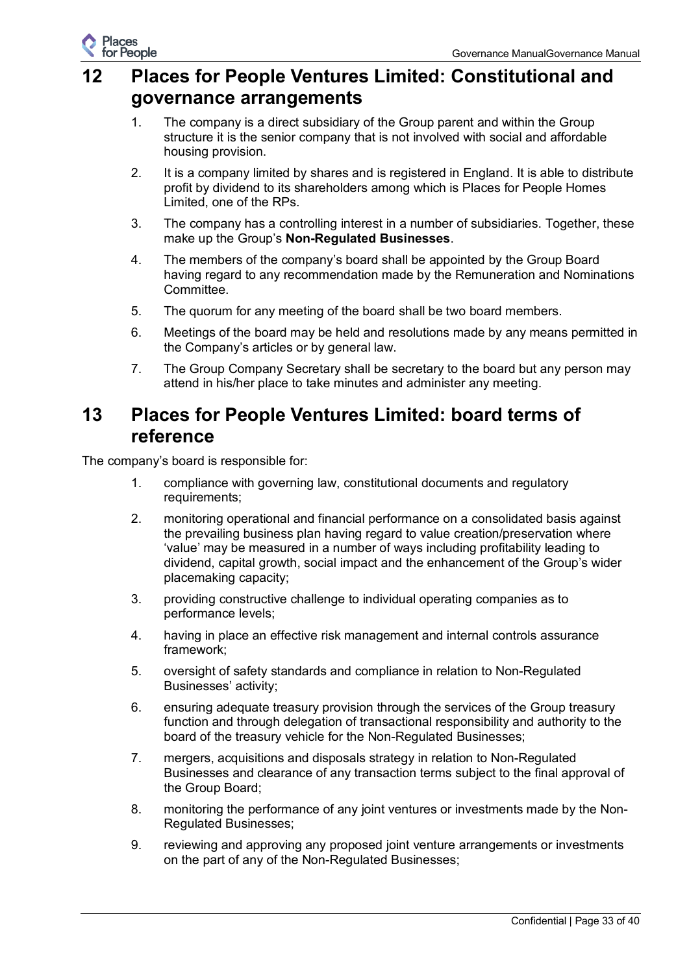

## <span id="page-32-0"></span>**12 Places for People Ventures Limited: Constitutional and governance arrangements**

- 1. The company is a direct subsidiary of the Group parent and within the Group structure it is the senior company that is not involved with social and affordable housing provision.
- 2. It is a company limited by shares and is registered in England. It is able to distribute profit by dividend to its shareholders among which is Places for People Homes Limited, one of the RPs.
- 3. The company has a controlling interest in a number of subsidiaries. Together, these make up the Group's **Non-Regulated Businesses**.
- 4. The members of the company's board shall be appointed by the Group Board having regard to any recommendation made by the Remuneration and Nominations **Committee**
- 5. The quorum for any meeting of the board shall be two board members.
- 6. Meetings of the board may be held and resolutions made by any means permitted in the Company's articles or by general law.
- 7. The Group Company Secretary shall be secretary to the board but any person may attend in his/her place to take minutes and administer any meeting.

## <span id="page-32-1"></span>**13 Places for People Ventures Limited: board terms of reference**

The company's board is responsible for:

- 1. compliance with governing law, constitutional documents and regulatory requirements;
- 2. monitoring operational and financial performance on a consolidated basis against the prevailing business plan having regard to value creation/preservation where 'value' may be measured in a number of ways including profitability leading to dividend, capital growth, social impact and the enhancement of the Group's wider placemaking capacity;
- 3. providing constructive challenge to individual operating companies as to performance levels;
- 4. having in place an effective risk management and internal controls assurance framework;
- 5. oversight of safety standards and compliance in relation to Non-Regulated Businesses' activity;
- 6. ensuring adequate treasury provision through the services of the Group treasury function and through delegation of transactional responsibility and authority to the board of the treasury vehicle for the Non-Regulated Businesses;
- 7. mergers, acquisitions and disposals strategy in relation to Non-Regulated Businesses and clearance of any transaction terms subject to the final approval of the Group Board;
- 8. monitoring the performance of any joint ventures or investments made by the Non-Regulated Businesses;
- 9. reviewing and approving any proposed joint venture arrangements or investments on the part of any of the Non-Regulated Businesses;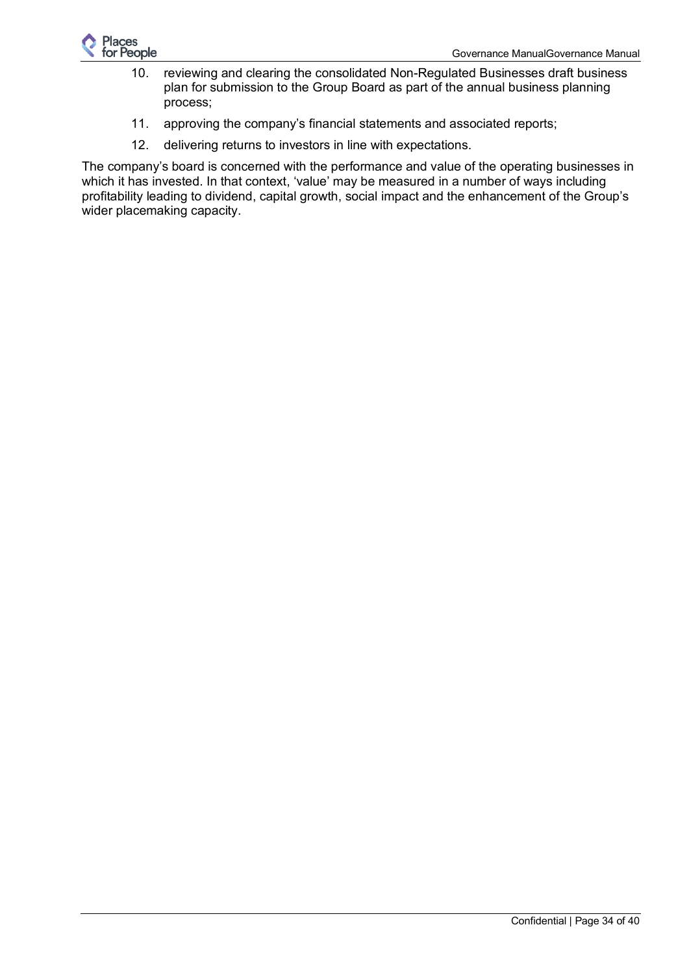

- 10. reviewing and clearing the consolidated Non-Regulated Businesses draft business plan for submission to the Group Board as part of the annual business planning process;
- 11. approving the company's financial statements and associated reports;
- 12. delivering returns to investors in line with expectations.

The company's board is concerned with the performance and value of the operating businesses in which it has invested. In that context, 'value' may be measured in a number of ways including profitability leading to dividend, capital growth, social impact and the enhancement of the Group's wider placemaking capacity.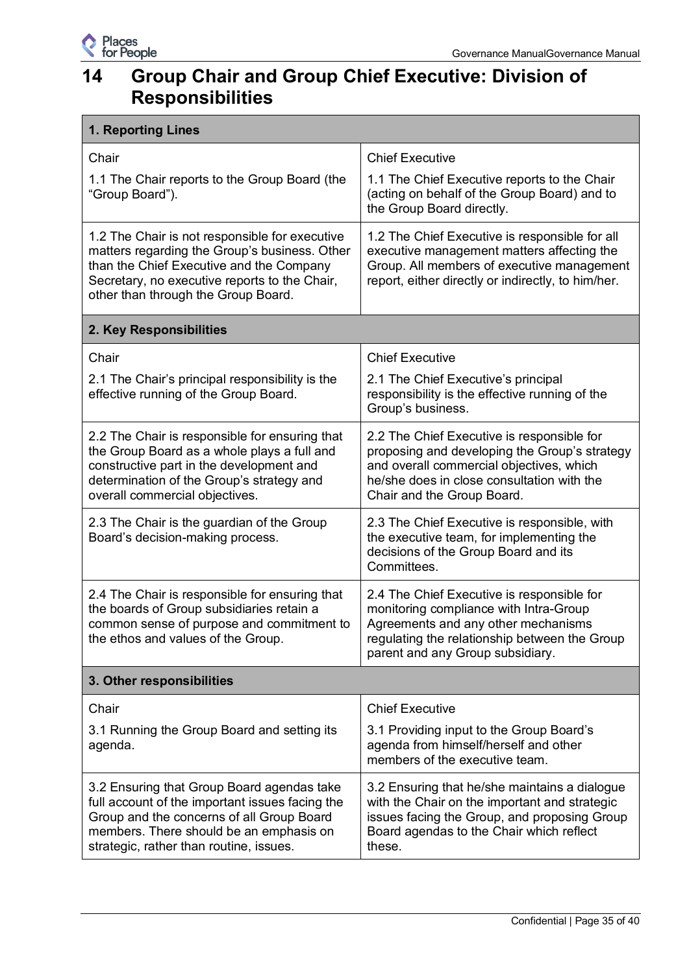

# <span id="page-34-0"></span>**14 Group Chair and Group Chief Executive: Division of Responsibilities**

| 1. Reporting Lines                                                                                                                                                                                                                  |                                                                                                                                                                                                                     |  |  |
|-------------------------------------------------------------------------------------------------------------------------------------------------------------------------------------------------------------------------------------|---------------------------------------------------------------------------------------------------------------------------------------------------------------------------------------------------------------------|--|--|
| Chair                                                                                                                                                                                                                               | <b>Chief Executive</b>                                                                                                                                                                                              |  |  |
| 1.1 The Chair reports to the Group Board (the<br>"Group Board").                                                                                                                                                                    | 1.1 The Chief Executive reports to the Chair<br>(acting on behalf of the Group Board) and to<br>the Group Board directly.                                                                                           |  |  |
| 1.2 The Chair is not responsible for executive<br>matters regarding the Group's business. Other<br>than the Chief Executive and the Company<br>Secretary, no executive reports to the Chair,<br>other than through the Group Board. | 1.2 The Chief Executive is responsible for all<br>executive management matters affecting the<br>Group. All members of executive management<br>report, either directly or indirectly, to him/her.                    |  |  |
| 2. Key Responsibilities                                                                                                                                                                                                             |                                                                                                                                                                                                                     |  |  |
| Chair                                                                                                                                                                                                                               | <b>Chief Executive</b>                                                                                                                                                                                              |  |  |
| 2.1 The Chair's principal responsibility is the<br>effective running of the Group Board.                                                                                                                                            | 2.1 The Chief Executive's principal<br>responsibility is the effective running of the<br>Group's business.                                                                                                          |  |  |
| 2.2 The Chair is responsible for ensuring that<br>the Group Board as a whole plays a full and<br>constructive part in the development and<br>determination of the Group's strategy and<br>overall commercial objectives.            | 2.2 The Chief Executive is responsible for<br>proposing and developing the Group's strategy<br>and overall commercial objectives, which<br>he/she does in close consultation with the<br>Chair and the Group Board. |  |  |
| 2.3 The Chair is the guardian of the Group<br>Board's decision-making process.                                                                                                                                                      | 2.3 The Chief Executive is responsible, with<br>the executive team, for implementing the<br>decisions of the Group Board and its<br>Committees.                                                                     |  |  |
| 2.4 The Chair is responsible for ensuring that<br>the boards of Group subsidiaries retain a<br>common sense of purpose and commitment to<br>the ethos and values of the Group.                                                      | 2.4 The Chief Executive is responsible for<br>monitoring compliance with Intra-Group<br>Agreements and any other mechanisms<br>regulating the relationship between the Group<br>parent and any Group subsidiary.    |  |  |
| 3. Other responsibilities                                                                                                                                                                                                           |                                                                                                                                                                                                                     |  |  |
| Chair                                                                                                                                                                                                                               | <b>Chief Executive</b>                                                                                                                                                                                              |  |  |
| 3.1 Running the Group Board and setting its<br>agenda.                                                                                                                                                                              | 3.1 Providing input to the Group Board's<br>agenda from himself/herself and other<br>members of the executive team.                                                                                                 |  |  |
| 3.2 Ensuring that Group Board agendas take<br>full account of the important issues facing the<br>Group and the concerns of all Group Board<br>members. There should be an emphasis on<br>strategic, rather than routine, issues.    | 3.2 Ensuring that he/she maintains a dialogue<br>with the Chair on the important and strategic<br>issues facing the Group, and proposing Group<br>Board agendas to the Chair which reflect<br>these.                |  |  |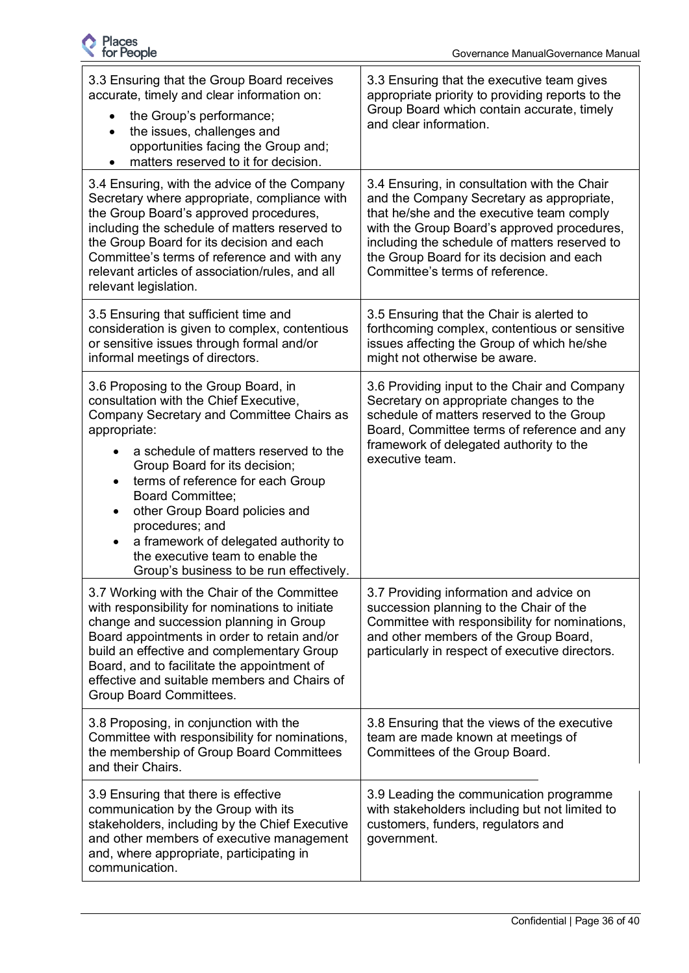$\overline{\phantom{a}}$ 

| 3.3 Ensuring that the Group Board receives<br>accurate, timely and clear information on:                                                                                                                                                                                                                                                                                                                                                                                                  | 3.3 Ensuring that the executive team gives<br>appropriate priority to providing reports to the                                                                                                                                                                                                                         |  |
|-------------------------------------------------------------------------------------------------------------------------------------------------------------------------------------------------------------------------------------------------------------------------------------------------------------------------------------------------------------------------------------------------------------------------------------------------------------------------------------------|------------------------------------------------------------------------------------------------------------------------------------------------------------------------------------------------------------------------------------------------------------------------------------------------------------------------|--|
| the Group's performance;<br>the issues, challenges and<br>$\bullet$<br>opportunities facing the Group and;<br>matters reserved to it for decision.                                                                                                                                                                                                                                                                                                                                        | Group Board which contain accurate, timely<br>and clear information.                                                                                                                                                                                                                                                   |  |
| 3.4 Ensuring, with the advice of the Company<br>Secretary where appropriate, compliance with<br>the Group Board's approved procedures,<br>including the schedule of matters reserved to<br>the Group Board for its decision and each<br>Committee's terms of reference and with any<br>relevant articles of association/rules, and all<br>relevant legislation.                                                                                                                           | 3.4 Ensuring, in consultation with the Chair<br>and the Company Secretary as appropriate,<br>that he/she and the executive team comply<br>with the Group Board's approved procedures,<br>including the schedule of matters reserved to<br>the Group Board for its decision and each<br>Committee's terms of reference. |  |
| 3.5 Ensuring that sufficient time and<br>consideration is given to complex, contentious<br>or sensitive issues through formal and/or<br>informal meetings of directors.                                                                                                                                                                                                                                                                                                                   | 3.5 Ensuring that the Chair is alerted to<br>forthcoming complex, contentious or sensitive<br>issues affecting the Group of which he/she<br>might not otherwise be aware.                                                                                                                                              |  |
| 3.6 Proposing to the Group Board, in<br>consultation with the Chief Executive,<br>Company Secretary and Committee Chairs as<br>appropriate:<br>a schedule of matters reserved to the<br>Group Board for its decision;<br>terms of reference for each Group<br>٠<br><b>Board Committee;</b><br>other Group Board policies and<br>٠<br>procedures; and<br>a framework of delegated authority to<br>$\bullet$<br>the executive team to enable the<br>Group's business to be run effectively. | 3.6 Providing input to the Chair and Company<br>Secretary on appropriate changes to the<br>schedule of matters reserved to the Group<br>Board, Committee terms of reference and any<br>framework of delegated authority to the<br>executive team.                                                                      |  |
| 3.7 Working with the Chair of the Committee<br>with responsibility for nominations to initiate<br>change and succession planning in Group<br>Board appointments in order to retain and/or<br>build an effective and complementary Group<br>Board, and to facilitate the appointment of<br>effective and suitable members and Chairs of<br>Group Board Committees.                                                                                                                         | 3.7 Providing information and advice on<br>succession planning to the Chair of the<br>Committee with responsibility for nominations,<br>and other members of the Group Board,<br>particularly in respect of executive directors.                                                                                       |  |
| 3.8 Proposing, in conjunction with the<br>Committee with responsibility for nominations,<br>the membership of Group Board Committees<br>and their Chairs.                                                                                                                                                                                                                                                                                                                                 | 3.8 Ensuring that the views of the executive<br>team are made known at meetings of<br>Committees of the Group Board.                                                                                                                                                                                                   |  |
| 3.9 Ensuring that there is effective<br>communication by the Group with its<br>stakeholders, including by the Chief Executive<br>and other members of executive management<br>and, where appropriate, participating in<br>communication.                                                                                                                                                                                                                                                  | 3.9 Leading the communication programme<br>with stakeholders including but not limited to<br>customers, funders, regulators and<br>government.                                                                                                                                                                         |  |

۰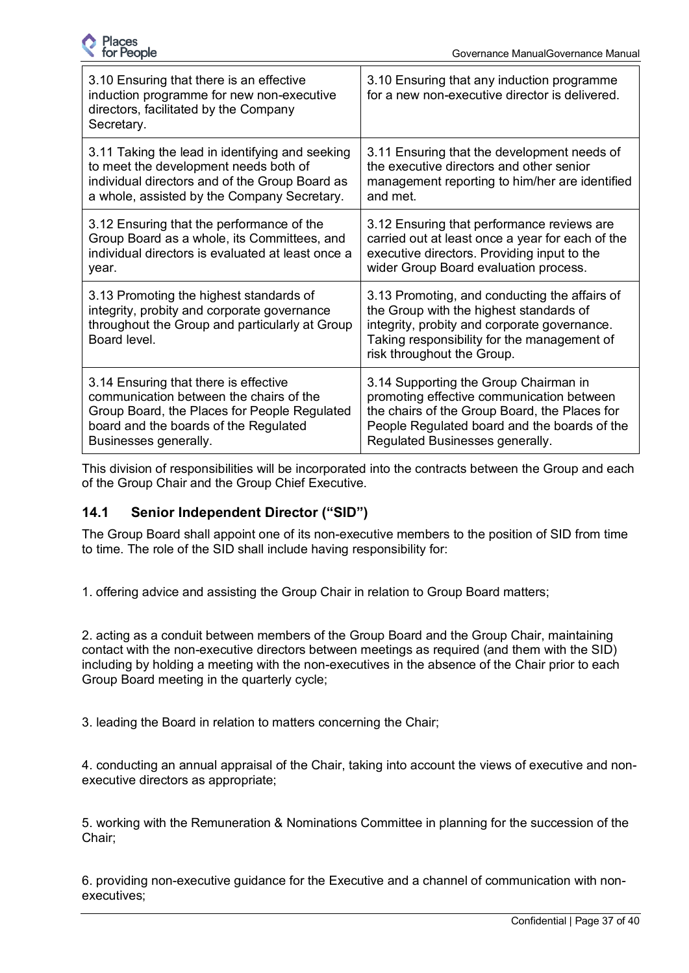

| 3.10 Ensuring that there is an effective<br>induction programme for new non-executive<br>directors, facilitated by the Company<br>Secretary.             | 3.10 Ensuring that any induction programme<br>for a new non-executive director is delivered.                                                                                                                          |
|----------------------------------------------------------------------------------------------------------------------------------------------------------|-----------------------------------------------------------------------------------------------------------------------------------------------------------------------------------------------------------------------|
| 3.11 Taking the lead in identifying and seeking                                                                                                          | 3.11 Ensuring that the development needs of                                                                                                                                                                           |
| to meet the development needs both of                                                                                                                    | the executive directors and other senior                                                                                                                                                                              |
| individual directors and of the Group Board as                                                                                                           | management reporting to him/her are identified                                                                                                                                                                        |
| a whole, assisted by the Company Secretary.                                                                                                              | and met.                                                                                                                                                                                                              |
| 3.12 Ensuring that the performance of the                                                                                                                | 3.12 Ensuring that performance reviews are                                                                                                                                                                            |
| Group Board as a whole, its Committees, and                                                                                                              | carried out at least once a year for each of the                                                                                                                                                                      |
| individual directors is evaluated at least once a                                                                                                        | executive directors. Providing input to the                                                                                                                                                                           |
| year.                                                                                                                                                    | wider Group Board evaluation process.                                                                                                                                                                                 |
| 3.13 Promoting the highest standards of<br>integrity, probity and corporate governance<br>throughout the Group and particularly at Group<br>Board level. | 3.13 Promoting, and conducting the affairs of<br>the Group with the highest standards of<br>integrity, probity and corporate governance.<br>Taking responsibility for the management of<br>risk throughout the Group. |
| 3.14 Ensuring that there is effective                                                                                                                    | 3.14 Supporting the Group Chairman in                                                                                                                                                                                 |
| communication between the chairs of the                                                                                                                  | promoting effective communication between                                                                                                                                                                             |
| Group Board, the Places for People Regulated                                                                                                             | the chairs of the Group Board, the Places for                                                                                                                                                                         |
| board and the boards of the Regulated                                                                                                                    | People Regulated board and the boards of the                                                                                                                                                                          |
| Businesses generally.                                                                                                                                    | Regulated Businesses generally.                                                                                                                                                                                       |

This division of responsibilities will be incorporated into the contracts between the Group and each of the Group Chair and the Group Chief Executive.

#### <span id="page-36-0"></span>**14.1 Senior Independent Director ("SID")**

The Group Board shall appoint one of its non-executive members to the position of SID from time to time. The role of the SID shall include having responsibility for:

1. offering advice and assisting the Group Chair in relation to Group Board matters;

2. acting as a conduit between members of the Group Board and the Group Chair, maintaining contact with the non-executive directors between meetings as required (and them with the SID) including by holding a meeting with the non-executives in the absence of the Chair prior to each Group Board meeting in the quarterly cycle;

3. leading the Board in relation to matters concerning the Chair;

4. conducting an annual appraisal of the Chair, taking into account the views of executive and nonexecutive directors as appropriate;

5. working with the Remuneration & Nominations Committee in planning for the succession of the Chair;

6. providing non-executive guidance for the Executive and a channel of communication with nonexecutives;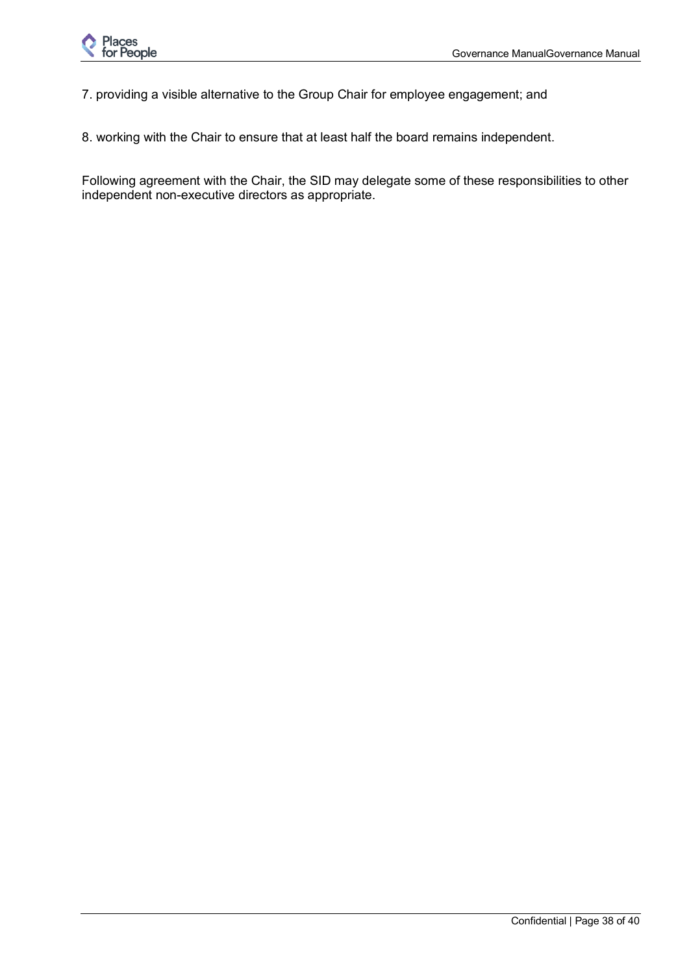7. providing a visible alternative to the Group Chair for employee engagement; and

8. working with the Chair to ensure that at least half the board remains independent.

Following agreement with the Chair, the SID may delegate some of these responsibilities to other independent non-executive directors as appropriate.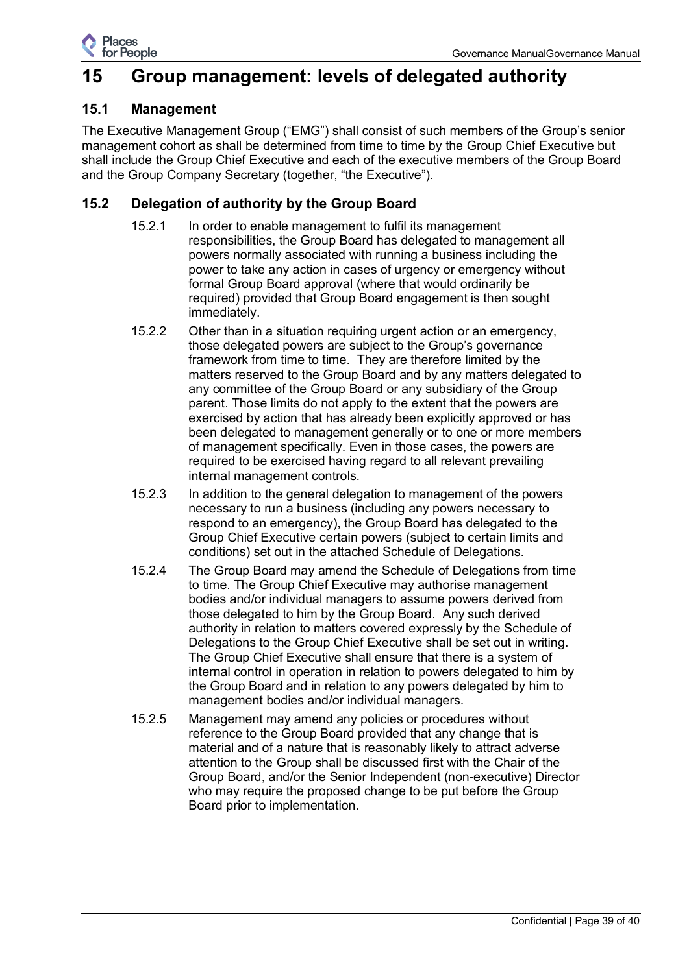## <span id="page-38-0"></span>**15 Group management: levels of delegated authority**

#### <span id="page-38-1"></span>**15.1 Management**

The Executive Management Group ("EMG") shall consist of such members of the Group's senior management cohort as shall be determined from time to time by the Group Chief Executive but shall include the Group Chief Executive and each of the executive members of the Group Board and the Group Company Secretary (together, "the Executive").

#### <span id="page-38-2"></span>**15.2 Delegation of authority by the Group Board**

- 15.2.1 In order to enable management to fulfil its management responsibilities, the Group Board has delegated to management all powers normally associated with running a business including the power to take any action in cases of urgency or emergency without formal Group Board approval (where that would ordinarily be required) provided that Group Board engagement is then sought immediately.
- 15.2.2 Other than in a situation requiring urgent action or an emergency, those delegated powers are subject to the Group's governance framework from time to time. They are therefore limited by the matters reserved to the Group Board and by any matters delegated to any committee of the Group Board or any subsidiary of the Group parent. Those limits do not apply to the extent that the powers are exercised by action that has already been explicitly approved or has been delegated to management generally or to one or more members of management specifically. Even in those cases, the powers are required to be exercised having regard to all relevant prevailing internal management controls.
- 15.2.3 In addition to the general delegation to management of the powers necessary to run a business (including any powers necessary to respond to an emergency), the Group Board has delegated to the Group Chief Executive certain powers (subject to certain limits and conditions) set out in the attached Schedule of Delegations.
- 15.2.4 The Group Board may amend the Schedule of Delegations from time to time. The Group Chief Executive may authorise management bodies and/or individual managers to assume powers derived from those delegated to him by the Group Board. Any such derived authority in relation to matters covered expressly by the Schedule of Delegations to the Group Chief Executive shall be set out in writing. The Group Chief Executive shall ensure that there is a system of internal control in operation in relation to powers delegated to him by the Group Board and in relation to any powers delegated by him to management bodies and/or individual managers.
- 15.2.5 Management may amend any policies or procedures without reference to the Group Board provided that any change that is material and of a nature that is reasonably likely to attract adverse attention to the Group shall be discussed first with the Chair of the Group Board, and/or the Senior Independent (non-executive) Director who may require the proposed change to be put before the Group Board prior to implementation.